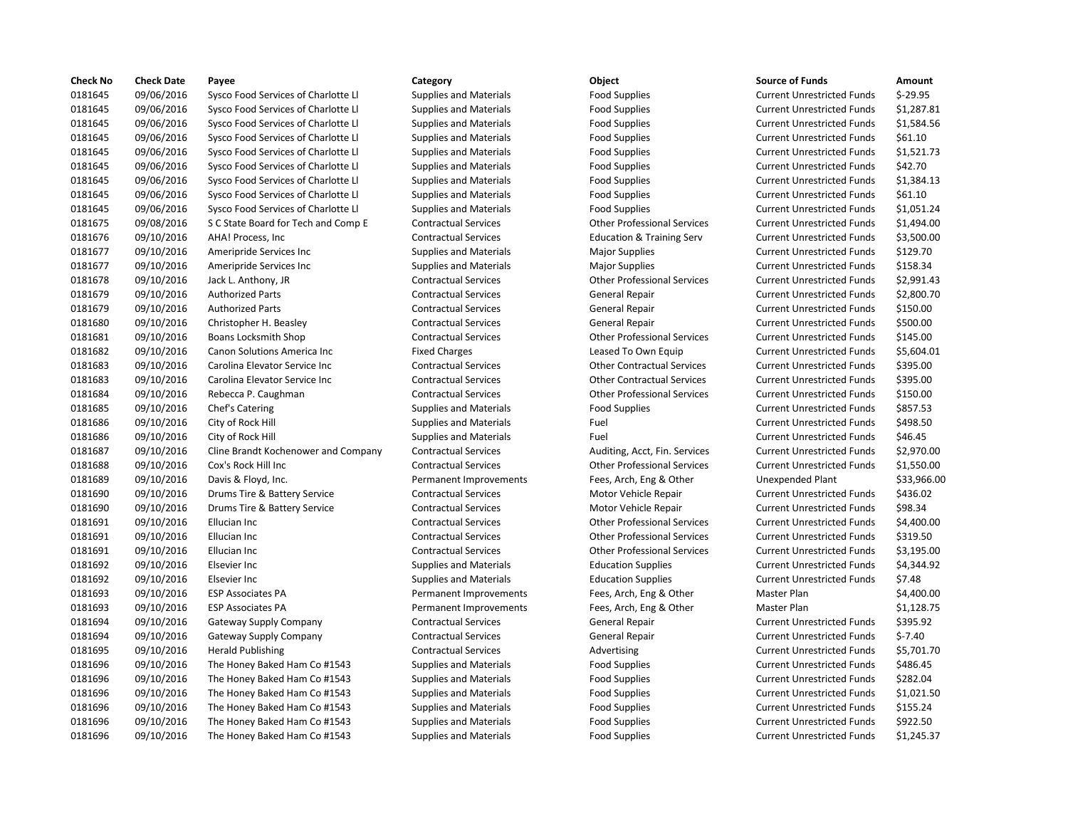| <b>Check No</b> | <b>Check Date</b> | Payee                               | Category                      | Object                               | <b>Source of Funds</b>            | Amount    |
|-----------------|-------------------|-------------------------------------|-------------------------------|--------------------------------------|-----------------------------------|-----------|
| 0181645         | 09/06/2016        | Sysco Food Services of Charlotte Ll | <b>Supplies and Materials</b> | <b>Food Supplies</b>                 | <b>Current Unrestricted Funds</b> | $$-29.95$ |
| 0181645         | 09/06/2016        | Sysco Food Services of Charlotte Ll | <b>Supplies and Materials</b> | <b>Food Supplies</b>                 | <b>Current Unrestricted Funds</b> | \$1,287.8 |
| 0181645         | 09/06/2016        | Sysco Food Services of Charlotte Ll | <b>Supplies and Materials</b> | <b>Food Supplies</b>                 | <b>Current Unrestricted Funds</b> | \$1,584.5 |
| 0181645         | 09/06/2016        | Sysco Food Services of Charlotte Ll | <b>Supplies and Materials</b> | Food Supplies                        | <b>Current Unrestricted Funds</b> | \$61.10   |
| 0181645         | 09/06/2016        | Sysco Food Services of Charlotte Ll | <b>Supplies and Materials</b> | <b>Food Supplies</b>                 | <b>Current Unrestricted Funds</b> | \$1,521.7 |
| 0181645         | 09/06/2016        | Sysco Food Services of Charlotte Ll | <b>Supplies and Materials</b> | <b>Food Supplies</b>                 | <b>Current Unrestricted Funds</b> | \$42.70   |
| 0181645         | 09/06/2016        | Sysco Food Services of Charlotte Ll | <b>Supplies and Materials</b> | <b>Food Supplies</b>                 | <b>Current Unrestricted Funds</b> | \$1,384.1 |
| 0181645         | 09/06/2016        | Sysco Food Services of Charlotte Ll | <b>Supplies and Materials</b> | <b>Food Supplies</b>                 | <b>Current Unrestricted Funds</b> | \$61.10   |
| 0181645         | 09/06/2016        | Sysco Food Services of Charlotte Ll | <b>Supplies and Materials</b> | <b>Food Supplies</b>                 | <b>Current Unrestricted Funds</b> | \$1,051.2 |
| 0181675         | 09/08/2016        | S C State Board for Tech and Comp E | <b>Contractual Services</b>   | <b>Other Professional Services</b>   | <b>Current Unrestricted Funds</b> | \$1,494.0 |
| 0181676         | 09/10/2016        | AHA! Process, Inc.                  | <b>Contractual Services</b>   | <b>Education &amp; Training Serv</b> | <b>Current Unrestricted Funds</b> | \$3,500.0 |
| 0181677         | 09/10/2016        | Ameripride Services Inc             | <b>Supplies and Materials</b> | <b>Major Supplies</b>                | <b>Current Unrestricted Funds</b> | \$129.70  |
| 0181677         | 09/10/2016        | Ameripride Services Inc             | <b>Supplies and Materials</b> | <b>Major Supplies</b>                | <b>Current Unrestricted Funds</b> | \$158.34  |
| 0181678         | 09/10/2016        | Jack L. Anthony, JR                 | <b>Contractual Services</b>   | <b>Other Professional Services</b>   | <b>Current Unrestricted Funds</b> | \$2,991.4 |
| 0181679         | 09/10/2016        | <b>Authorized Parts</b>             | <b>Contractual Services</b>   | General Repair                       | <b>Current Unrestricted Funds</b> | \$2,800.7 |
| 0181679         | 09/10/2016        | <b>Authorized Parts</b>             | <b>Contractual Services</b>   | General Repair                       | <b>Current Unrestricted Funds</b> | \$150.00  |
| 0181680         | 09/10/2016        | Christopher H. Beasley              | <b>Contractual Services</b>   | General Repair                       | <b>Current Unrestricted Funds</b> | \$500.00  |
| 0181681         | 09/10/2016        | Boans Locksmith Shop                | <b>Contractual Services</b>   | <b>Other Professional Services</b>   | <b>Current Unrestricted Funds</b> | \$145.00  |
| 0181682         | 09/10/2016        | Canon Solutions America Inc         | <b>Fixed Charges</b>          | Leased To Own Equip                  | <b>Current Unrestricted Funds</b> | \$5,604.0 |
| 0181683         | 09/10/2016        | Carolina Elevator Service Inc       | <b>Contractual Services</b>   | <b>Other Contractual Services</b>    | <b>Current Unrestricted Funds</b> | \$395.00  |
| 0181683         | 09/10/2016        | Carolina Elevator Service Inc       | <b>Contractual Services</b>   | <b>Other Contractual Services</b>    | <b>Current Unrestricted Funds</b> | \$395.00  |
| 0181684         | 09/10/2016        | Rebecca P. Caughman                 | <b>Contractual Services</b>   | <b>Other Professional Services</b>   | <b>Current Unrestricted Funds</b> | \$150.00  |
| 0181685         | 09/10/2016        | Chef's Catering                     | <b>Supplies and Materials</b> | <b>Food Supplies</b>                 | <b>Current Unrestricted Funds</b> | \$857.53  |
| 0181686         | 09/10/2016        | City of Rock Hill                   | <b>Supplies and Materials</b> | Fuel                                 | <b>Current Unrestricted Funds</b> | \$498.50  |
| 0181686         | 09/10/2016        | City of Rock Hill                   | <b>Supplies and Materials</b> | Fuel                                 | <b>Current Unrestricted Funds</b> | \$46.45   |
| 0181687         | 09/10/2016        | Cline Brandt Kochenower and Company | <b>Contractual Services</b>   | Auditing, Acct, Fin. Services        | <b>Current Unrestricted Funds</b> | \$2,970.0 |
| 0181688         | 09/10/2016        | Cox's Rock Hill Inc                 | <b>Contractual Services</b>   | <b>Other Professional Services</b>   | <b>Current Unrestricted Funds</b> | \$1,550.0 |
| 0181689         | 09/10/2016        | Davis & Floyd, Inc.                 | Permanent Improvements        | Fees, Arch, Eng & Other              | Unexpended Plant                  | \$33,966  |
| 0181690         | 09/10/2016        | Drums Tire & Battery Service        | <b>Contractual Services</b>   | Motor Vehicle Repair                 | <b>Current Unrestricted Funds</b> | \$436.02  |
| 0181690         | 09/10/2016        | Drums Tire & Battery Service        | <b>Contractual Services</b>   | Motor Vehicle Repair                 | <b>Current Unrestricted Funds</b> | \$98.34   |
| 0181691         | 09/10/2016        | Ellucian Inc                        | <b>Contractual Services</b>   | <b>Other Professional Services</b>   | <b>Current Unrestricted Funds</b> | \$4,400.0 |
| 0181691         | 09/10/2016        | Ellucian Inc                        | <b>Contractual Services</b>   | <b>Other Professional Services</b>   | <b>Current Unrestricted Funds</b> | \$319.50  |
| 0181691         | 09/10/2016        | Ellucian Inc                        | <b>Contractual Services</b>   | <b>Other Professional Services</b>   | <b>Current Unrestricted Funds</b> | \$3,195.0 |
| 0181692         | 09/10/2016        | Elsevier Inc                        | <b>Supplies and Materials</b> | <b>Education Supplies</b>            | <b>Current Unrestricted Funds</b> | \$4,344.9 |
| 0181692         | 09/10/2016        | Elsevier Inc                        | <b>Supplies and Materials</b> | <b>Education Supplies</b>            | <b>Current Unrestricted Funds</b> | \$7.48    |
| 0181693         | 09/10/2016        | <b>ESP Associates PA</b>            | Permanent Improvements        | Fees, Arch, Eng & Other              | Master Plan                       | \$4,400.0 |
| 0181693         | 09/10/2016        | <b>ESP Associates PA</b>            | Permanent Improvements        | Fees, Arch, Eng & Other              | Master Plan                       | \$1,128.7 |
| 0181694         | 09/10/2016        | <b>Gateway Supply Company</b>       | <b>Contractual Services</b>   | General Repair                       | <b>Current Unrestricted Funds</b> | \$395.92  |
| 0181694         | 09/10/2016        | Gateway Supply Company              | <b>Contractual Services</b>   | General Repair                       | <b>Current Unrestricted Funds</b> | $$-7.40$  |
| 0181695         | 09/10/2016        | <b>Herald Publishing</b>            | <b>Contractual Services</b>   | Advertising                          | <b>Current Unrestricted Funds</b> | \$5,701.7 |
| 0181696         | 09/10/2016        | The Honey Baked Ham Co #1543        | <b>Supplies and Materials</b> | <b>Food Supplies</b>                 | <b>Current Unrestricted Funds</b> | \$486.45  |
| 0181696         | 09/10/2016        | The Honey Baked Ham Co #1543        | <b>Supplies and Materials</b> | <b>Food Supplies</b>                 | <b>Current Unrestricted Funds</b> | \$282.04  |
| 0181696         | 09/10/2016        | The Honey Baked Ham Co #1543        | <b>Supplies and Materials</b> | <b>Food Supplies</b>                 | <b>Current Unrestricted Funds</b> | \$1,021.5 |
| 0181696         | 09/10/2016        | The Honey Baked Ham Co #1543        | <b>Supplies and Materials</b> | <b>Food Supplies</b>                 | <b>Current Unrestricted Funds</b> | \$155.24  |
| 0181696         | 09/10/2016        | The Honey Baked Ham Co #1543        | <b>Supplies and Materials</b> | <b>Food Supplies</b>                 | <b>Current Unrestricted Funds</b> | \$922.50  |
| 0181696         | 09/10/2016        | The Honey Baked Ham Co #1543        | <b>Supplies and Materials</b> | <b>Food Supplies</b>                 | <b>Current Unrestricted Funds</b> | \$1,245.3 |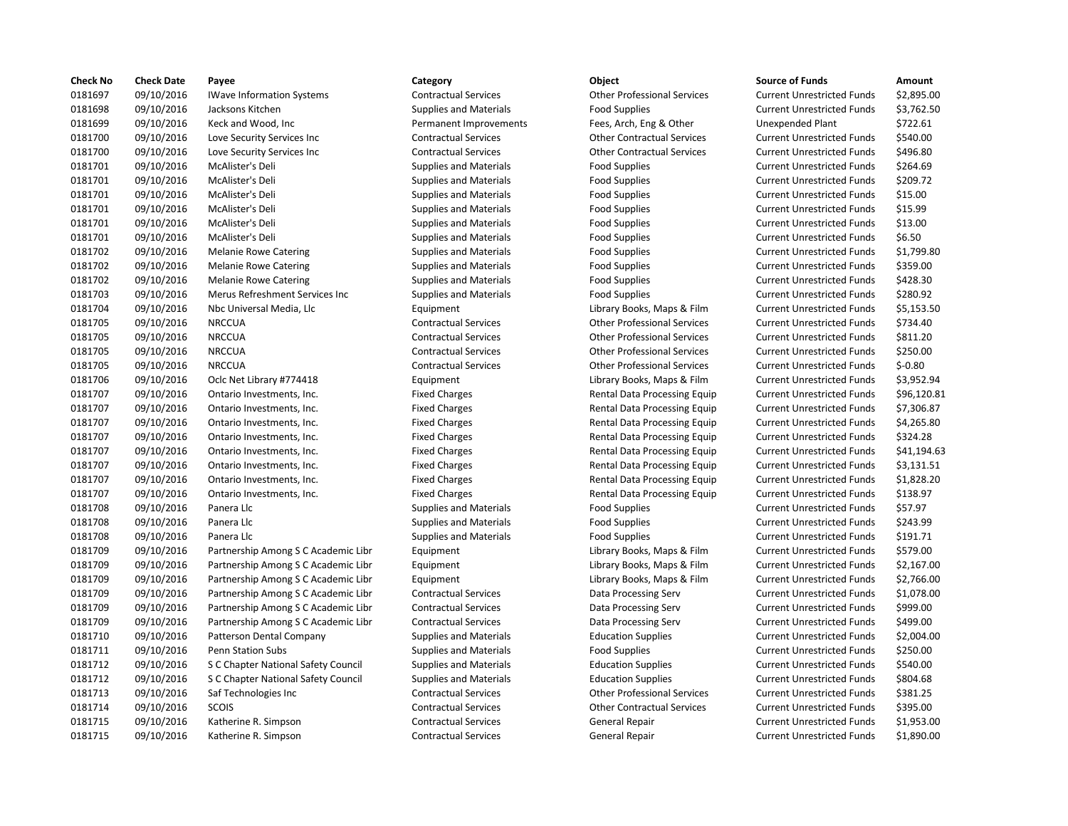| <b>Check No</b> | <b>Check Date</b> | Payee                               | Category                      | <b>Object</b>                      | <b>Source of Funds</b>            | Amount    |
|-----------------|-------------------|-------------------------------------|-------------------------------|------------------------------------|-----------------------------------|-----------|
| 0181697         | 09/10/2016        | <b>IWave Information Systems</b>    | <b>Contractual Services</b>   | <b>Other Professional Services</b> | <b>Current Unrestricted Funds</b> | \$2,895.0 |
| 0181698         | 09/10/2016        | Jacksons Kitchen                    | <b>Supplies and Materials</b> | <b>Food Supplies</b>               | <b>Current Unrestricted Funds</b> | \$3,762.5 |
| 0181699         | 09/10/2016        | Keck and Wood, Inc                  | Permanent Improvements        | Fees, Arch, Eng & Other            | <b>Unexpended Plant</b>           | \$722.61  |
| 0181700         | 09/10/2016        | Love Security Services Inc          | <b>Contractual Services</b>   | <b>Other Contractual Services</b>  | <b>Current Unrestricted Funds</b> | \$540.00  |
| 0181700         | 09/10/2016        | Love Security Services Inc          | <b>Contractual Services</b>   | <b>Other Contractual Services</b>  | <b>Current Unrestricted Funds</b> | \$496.80  |
| 0181701         | 09/10/2016        | McAlister's Deli                    | <b>Supplies and Materials</b> | <b>Food Supplies</b>               | <b>Current Unrestricted Funds</b> | \$264.69  |
| 0181701         | 09/10/2016        | McAlister's Deli                    | <b>Supplies and Materials</b> | <b>Food Supplies</b>               | <b>Current Unrestricted Funds</b> | \$209.72  |
| 0181701         | 09/10/2016        | McAlister's Deli                    | <b>Supplies and Materials</b> | <b>Food Supplies</b>               | <b>Current Unrestricted Funds</b> | \$15.00   |
| 0181701         | 09/10/2016        | McAlister's Deli                    | <b>Supplies and Materials</b> | <b>Food Supplies</b>               | <b>Current Unrestricted Funds</b> | \$15.99   |
| 0181701         | 09/10/2016        | McAlister's Deli                    | <b>Supplies and Materials</b> | <b>Food Supplies</b>               | <b>Current Unrestricted Funds</b> | \$13.00   |
| 0181701         | 09/10/2016        | McAlister's Deli                    | <b>Supplies and Materials</b> | <b>Food Supplies</b>               | <b>Current Unrestricted Funds</b> | \$6.50    |
| 0181702         | 09/10/2016        | <b>Melanie Rowe Catering</b>        | <b>Supplies and Materials</b> | <b>Food Supplies</b>               | <b>Current Unrestricted Funds</b> | \$1,799.8 |
| 0181702         | 09/10/2016        | <b>Melanie Rowe Catering</b>        | <b>Supplies and Materials</b> | <b>Food Supplies</b>               | <b>Current Unrestricted Funds</b> | \$359.00  |
| 0181702         | 09/10/2016        | <b>Melanie Rowe Catering</b>        | <b>Supplies and Materials</b> | <b>Food Supplies</b>               | <b>Current Unrestricted Funds</b> | \$428.30  |
| 0181703         | 09/10/2016        | Merus Refreshment Services Inc      | <b>Supplies and Materials</b> | <b>Food Supplies</b>               | <b>Current Unrestricted Funds</b> | \$280.92  |
| 0181704         | 09/10/2016        | Nbc Universal Media, Llc            | Equipment                     | Library Books, Maps & Film         | <b>Current Unrestricted Funds</b> | \$5,153.5 |
| 0181705         | 09/10/2016        | <b>NRCCUA</b>                       | <b>Contractual Services</b>   | <b>Other Professional Services</b> | <b>Current Unrestricted Funds</b> | \$734.40  |
| 0181705         | 09/10/2016        | <b>NRCCUA</b>                       | <b>Contractual Services</b>   | <b>Other Professional Services</b> | <b>Current Unrestricted Funds</b> | \$811.20  |
| 0181705         | 09/10/2016        | <b>NRCCUA</b>                       | <b>Contractual Services</b>   | <b>Other Professional Services</b> | <b>Current Unrestricted Funds</b> | \$250.00  |
| 0181705         | 09/10/2016        | <b>NRCCUA</b>                       | <b>Contractual Services</b>   | <b>Other Professional Services</b> | <b>Current Unrestricted Funds</b> | $$-0.80$  |
| 0181706         | 09/10/2016        | Oclc Net Library #774418            | Equipment                     | Library Books, Maps & Film         | <b>Current Unrestricted Funds</b> | \$3,952.9 |
| 0181707         | 09/10/2016        | Ontario Investments, Inc.           | <b>Fixed Charges</b>          | Rental Data Processing Equip       | <b>Current Unrestricted Funds</b> | \$96,120  |
| 0181707         | 09/10/2016        | Ontario Investments, Inc.           | <b>Fixed Charges</b>          | Rental Data Processing Equip       | <b>Current Unrestricted Funds</b> | \$7,306.8 |
| 0181707         | 09/10/2016        | Ontario Investments, Inc.           | <b>Fixed Charges</b>          | Rental Data Processing Equip       | <b>Current Unrestricted Funds</b> | \$4,265.8 |
| 0181707         | 09/10/2016        | Ontario Investments, Inc.           | <b>Fixed Charges</b>          | Rental Data Processing Equip       | <b>Current Unrestricted Funds</b> | \$324.28  |
| 0181707         | 09/10/2016        | Ontario Investments, Inc.           | <b>Fixed Charges</b>          | Rental Data Processing Equip       | <b>Current Unrestricted Funds</b> | \$41,194  |
| 0181707         | 09/10/2016        | Ontario Investments, Inc.           | <b>Fixed Charges</b>          | Rental Data Processing Equip       | <b>Current Unrestricted Funds</b> | \$3,131.5 |
| 0181707         | 09/10/2016        | Ontario Investments, Inc.           | <b>Fixed Charges</b>          | Rental Data Processing Equip       | <b>Current Unrestricted Funds</b> | \$1,828.2 |
| 0181707         | 09/10/2016        | Ontario Investments, Inc.           | <b>Fixed Charges</b>          | Rental Data Processing Equip       | <b>Current Unrestricted Funds</b> | \$138.97  |
| 0181708         | 09/10/2016        | Panera Llc                          | <b>Supplies and Materials</b> | <b>Food Supplies</b>               | <b>Current Unrestricted Funds</b> | \$57.97   |
| 0181708         | 09/10/2016        | Panera Llc                          | <b>Supplies and Materials</b> | <b>Food Supplies</b>               | <b>Current Unrestricted Funds</b> | \$243.99  |
| 0181708         | 09/10/2016        | Panera Llc                          | <b>Supplies and Materials</b> | <b>Food Supplies</b>               | <b>Current Unrestricted Funds</b> | \$191.71  |
| 0181709         | 09/10/2016        | Partnership Among S C Academic Libr | Equipment                     | Library Books, Maps & Film         | <b>Current Unrestricted Funds</b> | \$579.00  |
| 0181709         | 09/10/2016        | Partnership Among S C Academic Libr | Equipment                     | Library Books, Maps & Film         | <b>Current Unrestricted Funds</b> | \$2,167   |
| 0181709         | 09/10/2016        | Partnership Among S C Academic Libr | Equipment                     | Library Books, Maps & Film         | <b>Current Unrestricted Funds</b> | \$2,766.0 |
| 0181709         | 09/10/2016        | Partnership Among S C Academic Libr | <b>Contractual Services</b>   | Data Processing Serv               | <b>Current Unrestricted Funds</b> | \$1,078.0 |
| 0181709         | 09/10/2016        | Partnership Among S C Academic Libr | <b>Contractual Services</b>   | Data Processing Serv               | <b>Current Unrestricted Funds</b> | \$999.00  |
| 0181709         | 09/10/2016        | Partnership Among S C Academic Libr | <b>Contractual Services</b>   | Data Processing Serv               | <b>Current Unrestricted Funds</b> | \$499.00  |
| 0181710         | 09/10/2016        | Patterson Dental Company            | <b>Supplies and Materials</b> | <b>Education Supplies</b>          | <b>Current Unrestricted Funds</b> | \$2,004.0 |
| 0181711         | 09/10/2016        | <b>Penn Station Subs</b>            | <b>Supplies and Materials</b> | <b>Food Supplies</b>               | <b>Current Unrestricted Funds</b> | \$250.00  |
| 0181712         | 09/10/2016        | S C Chapter National Safety Council | <b>Supplies and Materials</b> | <b>Education Supplies</b>          | <b>Current Unrestricted Funds</b> | \$540.00  |
| 0181712         | 09/10/2016        | S C Chapter National Safety Council | <b>Supplies and Materials</b> | <b>Education Supplies</b>          | <b>Current Unrestricted Funds</b> | \$804.68  |
| 0181713         | 09/10/2016        | Saf Technologies Inc                | <b>Contractual Services</b>   | <b>Other Professional Services</b> | <b>Current Unrestricted Funds</b> | \$381.25  |
| 0181714         | 09/10/2016        | SCOIS                               | <b>Contractual Services</b>   | <b>Other Contractual Services</b>  | <b>Current Unrestricted Funds</b> | \$395.00  |
| 0181715         | 09/10/2016        | Katherine R. Simpson                | <b>Contractual Services</b>   | General Repair                     | <b>Current Unrestricted Funds</b> | \$1,953.0 |
| 0181715         | 09/10/2016        | Katherine R. Simpson                | <b>Contractual Services</b>   | General Repair                     | <b>Current Unrestricted Funds</b> | \$1,890.0 |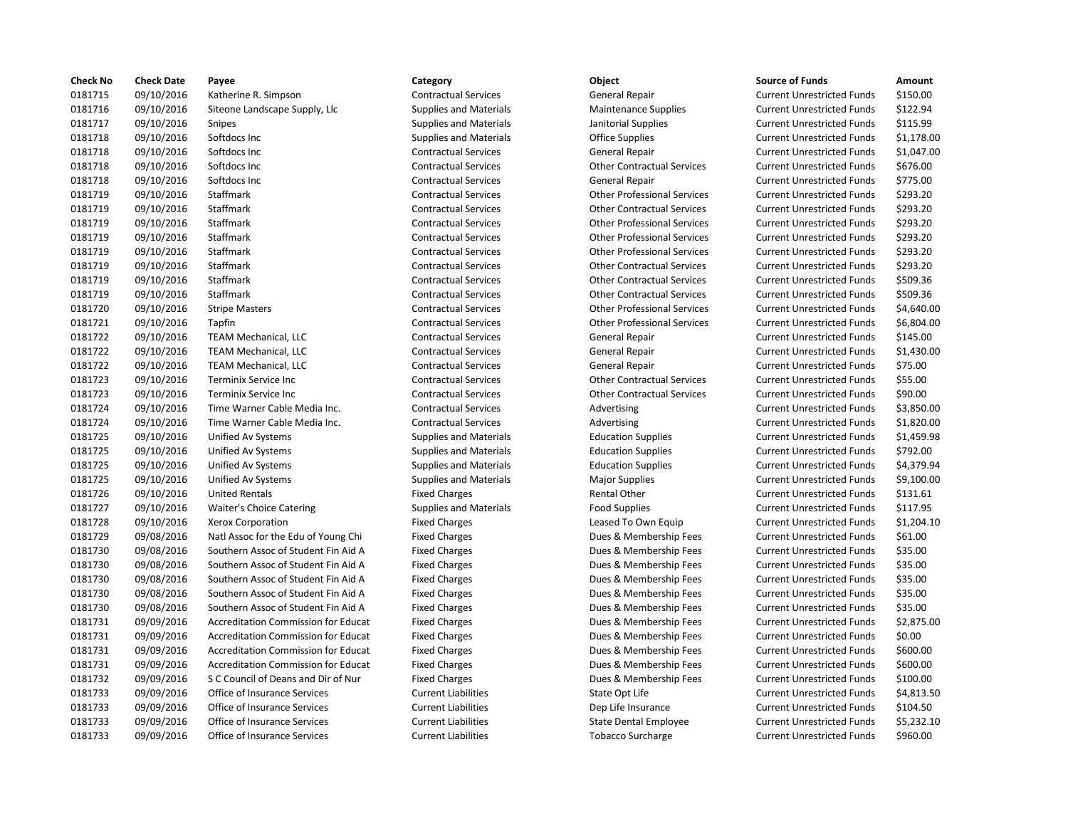| <b>Check No</b> | <b>Check Date</b> | Payee                                      | Category                      | Object                             | <b>Source of Funds</b>            | Amount     |
|-----------------|-------------------|--------------------------------------------|-------------------------------|------------------------------------|-----------------------------------|------------|
| 0181715         | 09/10/2016        | Katherine R. Simpson                       | <b>Contractual Services</b>   | General Repair                     | <b>Current Unrestricted Funds</b> | \$150.00   |
| 0181716         | 09/10/2016        | Siteone Landscape Supply, Llc              | <b>Supplies and Materials</b> | <b>Maintenance Supplies</b>        | <b>Current Unrestricted Funds</b> | \$122.94   |
| 0181717         | 09/10/2016        | Snipes                                     | <b>Supplies and Materials</b> | Janitorial Supplies                | <b>Current Unrestricted Funds</b> | \$115.99   |
| 0181718         | 09/10/2016        | Softdocs Inc                               | <b>Supplies and Materials</b> | Office Supplies                    | <b>Current Unrestricted Funds</b> | \$1,178.0  |
| 0181718         | 09/10/2016        | Softdocs Inc                               | <b>Contractual Services</b>   | General Repair                     | <b>Current Unrestricted Funds</b> | $$1,047$ . |
| 0181718         | 09/10/2016        | Softdocs Inc                               | <b>Contractual Services</b>   | <b>Other Contractual Services</b>  | <b>Current Unrestricted Funds</b> | \$676.00   |
| 0181718         | 09/10/2016        | Softdocs Inc                               | <b>Contractual Services</b>   | General Repair                     | <b>Current Unrestricted Funds</b> | \$775.00   |
| 0181719         | 09/10/2016        | Staffmark                                  | <b>Contractual Services</b>   | <b>Other Professional Services</b> | <b>Current Unrestricted Funds</b> | \$293.20   |
| 0181719         | 09/10/2016        | Staffmark                                  | <b>Contractual Services</b>   | <b>Other Contractual Services</b>  | <b>Current Unrestricted Funds</b> | \$293.20   |
| 0181719         | 09/10/2016        | Staffmark                                  | <b>Contractual Services</b>   | <b>Other Professional Services</b> | <b>Current Unrestricted Funds</b> | \$293.20   |
| 0181719         | 09/10/2016        | Staffmark                                  | <b>Contractual Services</b>   | <b>Other Professional Services</b> | <b>Current Unrestricted Funds</b> | \$293.20   |
| 0181719         | 09/10/2016        | Staffmark                                  | <b>Contractual Services</b>   | <b>Other Professional Services</b> | <b>Current Unrestricted Funds</b> | \$293.20   |
| 0181719         | 09/10/2016        | Staffmark                                  | <b>Contractual Services</b>   | <b>Other Contractual Services</b>  | <b>Current Unrestricted Funds</b> | \$293.20   |
| 0181719         | 09/10/2016        | Staffmark                                  | <b>Contractual Services</b>   | <b>Other Contractual Services</b>  | <b>Current Unrestricted Funds</b> | \$509.36   |
| 0181719         | 09/10/2016        | Staffmark                                  | <b>Contractual Services</b>   | <b>Other Contractual Services</b>  | <b>Current Unrestricted Funds</b> | \$509.36   |
| 0181720         | 09/10/2016        | <b>Stripe Masters</b>                      | <b>Contractual Services</b>   | <b>Other Professional Services</b> | <b>Current Unrestricted Funds</b> | \$4,640.0  |
| 0181721         | 09/10/2016        | Tapfin                                     | <b>Contractual Services</b>   | <b>Other Professional Services</b> | <b>Current Unrestricted Funds</b> | \$6,804.0  |
| 0181722         | 09/10/2016        | <b>TEAM Mechanical, LLC</b>                | <b>Contractual Services</b>   | General Repair                     | <b>Current Unrestricted Funds</b> | \$145.00   |
| 0181722         | 09/10/2016        | <b>TEAM Mechanical, LLC</b>                | <b>Contractual Services</b>   | General Repair                     | <b>Current Unrestricted Funds</b> | \$1,430.0  |
| 0181722         | 09/10/2016        | <b>TEAM Mechanical, LLC</b>                | <b>Contractual Services</b>   | General Repair                     | <b>Current Unrestricted Funds</b> | \$75.00    |
| 0181723         | 09/10/2016        | Terminix Service Inc                       | <b>Contractual Services</b>   | <b>Other Contractual Services</b>  | <b>Current Unrestricted Funds</b> | \$55.00    |
| 0181723         | 09/10/2016        | Terminix Service Inc                       | <b>Contractual Services</b>   | <b>Other Contractual Services</b>  | <b>Current Unrestricted Funds</b> | \$90.00    |
| 0181724         | 09/10/2016        | Time Warner Cable Media Inc.               | <b>Contractual Services</b>   | Advertising                        | <b>Current Unrestricted Funds</b> | \$3,850.0  |
| 0181724         | 09/10/2016        | Time Warner Cable Media Inc.               | <b>Contractual Services</b>   | Advertising                        | <b>Current Unrestricted Funds</b> | \$1,820.0  |
| 0181725         | 09/10/2016        | Unified Av Systems                         | <b>Supplies and Materials</b> | <b>Education Supplies</b>          | <b>Current Unrestricted Funds</b> | \$1,459.9  |
| 0181725         | 09/10/2016        | Unified Av Systems                         | <b>Supplies and Materials</b> | <b>Education Supplies</b>          | <b>Current Unrestricted Funds</b> | \$792.00   |
| 0181725         | 09/10/2016        | Unified Av Systems                         | <b>Supplies and Materials</b> | <b>Education Supplies</b>          | <b>Current Unrestricted Funds</b> | \$4,379.9  |
| 0181725         | 09/10/2016        | Unified Av Systems                         | <b>Supplies and Materials</b> | <b>Major Supplies</b>              | <b>Current Unrestricted Funds</b> | \$9,100.0  |
| 0181726         | 09/10/2016        | <b>United Rentals</b>                      | <b>Fixed Charges</b>          | Rental Other                       | <b>Current Unrestricted Funds</b> | \$131.61   |
| 0181727         | 09/10/2016        | Waiter's Choice Catering                   | <b>Supplies and Materials</b> | <b>Food Supplies</b>               | <b>Current Unrestricted Funds</b> | \$117.95   |
| 0181728         | 09/10/2016        | Xerox Corporation                          | <b>Fixed Charges</b>          | Leased To Own Equip                | <b>Current Unrestricted Funds</b> | \$1,204.1  |
| 0181729         | 09/08/2016        | Natl Assoc for the Edu of Young Chi        | <b>Fixed Charges</b>          | Dues & Membership Fees             | <b>Current Unrestricted Funds</b> | \$61.00    |
| 0181730         | 09/08/2016        | Southern Assoc of Student Fin Aid A        | <b>Fixed Charges</b>          | Dues & Membership Fees             | <b>Current Unrestricted Funds</b> | \$35.00    |
| 0181730         | 09/08/2016        | Southern Assoc of Student Fin Aid A        | <b>Fixed Charges</b>          | Dues & Membership Fees             | <b>Current Unrestricted Funds</b> | \$35.00    |
| 0181730         | 09/08/2016        | Southern Assoc of Student Fin Aid A        | <b>Fixed Charges</b>          | Dues & Membership Fees             | <b>Current Unrestricted Funds</b> | \$35.00    |
| 0181730         | 09/08/2016        | Southern Assoc of Student Fin Aid A        | <b>Fixed Charges</b>          | Dues & Membership Fees             | <b>Current Unrestricted Funds</b> | \$35.00    |
| 0181730         | 09/08/2016        | Southern Assoc of Student Fin Aid A        | <b>Fixed Charges</b>          | Dues & Membership Fees             | <b>Current Unrestricted Funds</b> | \$35.00    |
| 0181731         | 09/09/2016        | <b>Accreditation Commission for Educat</b> | <b>Fixed Charges</b>          | Dues & Membership Fees             | <b>Current Unrestricted Funds</b> | \$2,875.0  |
| 0181731         | 09/09/2016        | Accreditation Commission for Educat        | <b>Fixed Charges</b>          | Dues & Membership Fees             | <b>Current Unrestricted Funds</b> | \$0.00     |
| 0181731         | 09/09/2016        | <b>Accreditation Commission for Educat</b> | <b>Fixed Charges</b>          | Dues & Membership Fees             | <b>Current Unrestricted Funds</b> | \$600.00   |
| 0181731         | 09/09/2016        | <b>Accreditation Commission for Educat</b> | <b>Fixed Charges</b>          | Dues & Membership Fees             | <b>Current Unrestricted Funds</b> | \$600.00   |
| 0181732         | 09/09/2016        | S C Council of Deans and Dir of Nur        | <b>Fixed Charges</b>          | Dues & Membership Fees             | <b>Current Unrestricted Funds</b> | \$100.00   |
| 0181733         | 09/09/2016        | Office of Insurance Services               | <b>Current Liabilities</b>    | State Opt Life                     | <b>Current Unrestricted Funds</b> | \$4,813.5  |
| 0181733         | 09/09/2016        | Office of Insurance Services               | <b>Current Liabilities</b>    | Dep Life Insurance                 | <b>Current Unrestricted Funds</b> | \$104.50   |
| 0181733         | 09/09/2016        | Office of Insurance Services               | <b>Current Liabilities</b>    | State Dental Employee              | <b>Current Unrestricted Funds</b> | \$5,232.1  |
| 0181733         | 09/09/2016        | Office of Insurance Services               | <b>Current Liabilities</b>    | <b>Tobacco Surcharge</b>           | <b>Current Unrestricted Funds</b> | \$960.00   |

# 0181715 09/10/2016 Katherine R. Simpson Contractual Services General Repair Current Unrestricted Funds \$150.00 0181716 09/10/2016 Siteone Landscape Supply, Llc Supplies and Materials Maintenance Supplies Current Unrestricted Funds \$122.94 0181717 09/10/2016 Snipes Supplies and Materials Janitorial Supplies Current Unrestricted Funds \$115.99 0181718 09/10/2016 Softdocs Inc Supplies and Materials Office Supplies Current Unrestricted Funds \$1,178.00 Contractual Services **Contractual Services** General Repair **Current Unrestricted Funds** \$1,047.00 Contractual Services **Other Contractual Services** Current Unrestricted Funds \$676.00 Contractual Services **Contractual Services** General Repair **Current Unrestricted Funds** \$775.00 0181719 09/10/2016 Staffmark Contractual Services Other Professional Services Current Unrestricted Funds \$293.20 0181719 09/10/2016 Staffmark Contractual Services Other Contractual Services Current Unrestricted Funds \$293.20 0181719 09/10/2016 Staffmark Contractual Services Other Professional Services Current Unrestricted Funds \$293.20 0181719 09/10/2016 Staffmark Contractual Services Other Professional Services Current Unrestricted Funds \$293.20 0181719 09/10/2016 Staffmark Contractual Services Other Professional Services Current Unrestricted Funds \$293.20 0181719 09/10/2016 Staffmark Contractual Services Other Contractual Services Current Unrestricted Funds \$293.20 0181719 09/10/2016 Staffmark Contractual Services Other Contractual Services Current Unrestricted Funds \$509.36 0181719 09/10/2016 Staffmark Contractual Services Other Contractual Services Current Unrestricted Funds \$509.36 0181720 09/10/2016 Stripe Masters Contractual Services Other Professional Services Current Unrestricted Funds \$4,640.00 0181721 09/10/2016 Tapfin Contractual Services Other Professional Services Current Unrestricted Funds \$6,804.00 0181722 09/10/2016 TEAM Mechanical, LLC Contractual Services General Repair Current Unrestricted Funds \$145.00 0181722 09/10/2016 TEAM Mechanical, LLC Contractual Services General Repair Current Unrestricted Funds \$1,430.00 0181722 09/10/2016 TEAM Mechanical, LLC Contractual Services General Repair Current Unrestricted Funds \$75.00 Contractual Services **1978** Other Contractual Services Current Unrestricted Funds \$55.00 0181723 09/10/2016 Terminix Service Inc Contractual Services Other Contractual Services Current Unrestricted Funds \$90.00 Ontractual Services **Contractual Services** Advertising Current Unrestricted Funds \$3,850.00 Ontractual Services **Contractual Services** Advertising Current Unrestricted Funds \$1,820.00 0181725 09/10/2016 Unified Av Systems Supplies and Materials Education Supplies Current Unrestricted Funds \$1,459.98 0181725 09/10/2016 Unified Av Systems Supplies and Materials Education Supplies Current Unrestricted Funds \$792.00 0181725 09/10/2016 Unified Av Systems Supplies and Materials Education Supplies Current Unrestricted Funds \$4,379.94 0181725 09/10/2016 Unified Av Systems Supplies and Materials Major Supplies Current Unrestricted Funds \$9,100.00 Fixed Charges **1211.61 Rental Other Current Unrestricted Funds** \$131.61 0181727 09/10/2016 Waiter's Choice Catering Supplies and Materials Food Supplies Current Unrestricted Funds \$117.95 Fixed Charges **1,204.10** Leased To Own Equip Current Unrestricted Funds \$1,204.10 Chi Fixed Charges **Dues & Membership Fees** Current Unrestricted Funds \$61.00 Aid A Fixed Charges **Student Associates Concretes Current Execute** Current Unrestricted Funds \$35.00 Aid A Fixed Charges **Show The Student Charges** Dues & Membership Fees Current Unrestricted Funds \$35.00 Aid A Fixed Charges **Student Associates Concretes Current Execute** Current Unrestricted Funds \$35.00 Aid A Fixed Charges **Show The Student Charges** Dues & Membership Fees Current Unrestricted Funds \$35.00 Aid A Fixed Charges **Show The Student Charges** Dues & Membership Fees Current Unrestricted Funds \$35.00 0181731 09/09/2016 Accreditation Commission for Educat Fixed Charges Dues & Membership Fees Current Unrestricted Funds \$2,875.00 0181731 09/09/2016 Accreditation Commission for Educat Fixed Charges Dues & Membership Fees Current Unrestricted Funds \$0.00 ducat Fixed Charges Fixed Charges Fixed Current Unrestricted Funds \$600.00 ducat Fixed Charges Fixed Charges Fixed Current Unrestricted Funds \$600.00 Nur Fixed Charges **Council of Council of Council of Australia** Current Unrestricted Funds \$100.00 Current Liabilities **Current Liabilities** State Opt Life **Current Unrestricted Funds** \$4,813.50 Current Liabilities **OFFICE OF Life Insurance** Current Unrestricted Funds \$104.50 0181733 09/09/2016 Office of Insurance Services Current Liabilities State Dental Employee Current Unrestricted Funds \$5,232.10 0181733 09/09/2016 Office of Insurance Services Current Liabilities Tobacco Surcharge Current Unrestricted Funds \$960.00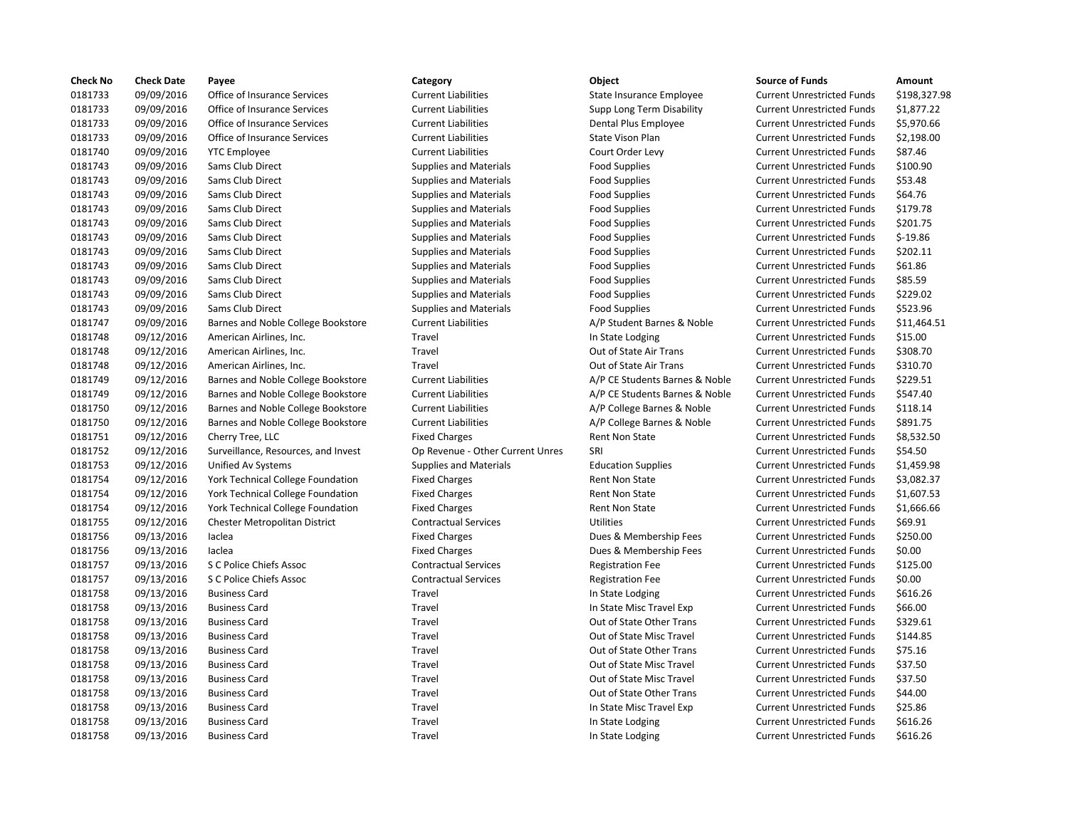| <b>Check No</b> | <b>Check Date</b> | Payee                               | Category                         | Object                         | <b>Source of Funds</b>            | Amount    |
|-----------------|-------------------|-------------------------------------|----------------------------------|--------------------------------|-----------------------------------|-----------|
| 0181733         | 09/09/2016        | Office of Insurance Services        | <b>Current Liabilities</b>       | State Insurance Employee       | <b>Current Unrestricted Funds</b> | \$198,32  |
| 0181733         | 09/09/2016        | Office of Insurance Services        | <b>Current Liabilities</b>       | Supp Long Term Disability      | <b>Current Unrestricted Funds</b> | \$1,877.2 |
| 0181733         | 09/09/2016        | Office of Insurance Services        | <b>Current Liabilities</b>       | Dental Plus Employee           | <b>Current Unrestricted Funds</b> | \$5,970.6 |
| 0181733         | 09/09/2016        | Office of Insurance Services        | <b>Current Liabilities</b>       | State Vison Plan               | <b>Current Unrestricted Funds</b> | \$2,198.0 |
| 0181740         | 09/09/2016        | <b>YTC Employee</b>                 | <b>Current Liabilities</b>       | Court Order Levy               | <b>Current Unrestricted Funds</b> | \$87.46   |
| 0181743         | 09/09/2016        | Sams Club Direct                    | <b>Supplies and Materials</b>    | <b>Food Supplies</b>           | <b>Current Unrestricted Funds</b> | \$100.90  |
| 0181743         | 09/09/2016        | Sams Club Direct                    | <b>Supplies and Materials</b>    | <b>Food Supplies</b>           | <b>Current Unrestricted Funds</b> | \$53.48   |
| 0181743         | 09/09/2016        | Sams Club Direct                    | <b>Supplies and Materials</b>    | <b>Food Supplies</b>           | <b>Current Unrestricted Funds</b> | \$64.76   |
| 0181743         | 09/09/2016        | Sams Club Direct                    | <b>Supplies and Materials</b>    | <b>Food Supplies</b>           | <b>Current Unrestricted Funds</b> | \$179.78  |
| 0181743         | 09/09/2016        | Sams Club Direct                    | <b>Supplies and Materials</b>    | <b>Food Supplies</b>           | <b>Current Unrestricted Funds</b> | \$201.75  |
| 0181743         | 09/09/2016        | Sams Club Direct                    | Supplies and Materials           | <b>Food Supplies</b>           | <b>Current Unrestricted Funds</b> | $$-19.86$ |
| 0181743         | 09/09/2016        | Sams Club Direct                    | <b>Supplies and Materials</b>    | <b>Food Supplies</b>           | <b>Current Unrestricted Funds</b> | \$202.11  |
| 0181743         | 09/09/2016        | Sams Club Direct                    | <b>Supplies and Materials</b>    | <b>Food Supplies</b>           | <b>Current Unrestricted Funds</b> | \$61.86   |
| 0181743         | 09/09/2016        | Sams Club Direct                    | <b>Supplies and Materials</b>    | <b>Food Supplies</b>           | <b>Current Unrestricted Funds</b> | \$85.59   |
| 0181743         | 09/09/2016        | Sams Club Direct                    | <b>Supplies and Materials</b>    | <b>Food Supplies</b>           | <b>Current Unrestricted Funds</b> | \$229.02  |
| 0181743         | 09/09/2016        | Sams Club Direct                    | <b>Supplies and Materials</b>    | <b>Food Supplies</b>           | <b>Current Unrestricted Funds</b> | \$523.96  |
| 0181747         | 09/09/2016        | Barnes and Noble College Bookstore  | <b>Current Liabilities</b>       | A/P Student Barnes & Noble     | <b>Current Unrestricted Funds</b> | \$11,464  |
| 0181748         | 09/12/2016        | American Airlines, Inc.             | Travel                           | In State Lodging               | <b>Current Unrestricted Funds</b> | \$15.00   |
| 0181748         | 09/12/2016        | American Airlines, Inc.             | Travel                           | Out of State Air Trans         | <b>Current Unrestricted Funds</b> | \$308.70  |
| 0181748         | 09/12/2016        | American Airlines, Inc.             | Travel                           | Out of State Air Trans         | <b>Current Unrestricted Funds</b> | \$310.70  |
| 0181749         | 09/12/2016        | Barnes and Noble College Bookstore  | <b>Current Liabilities</b>       | A/P CE Students Barnes & Noble | <b>Current Unrestricted Funds</b> | \$229.51  |
| 0181749         | 09/12/2016        | Barnes and Noble College Bookstore  | <b>Current Liabilities</b>       | A/P CE Students Barnes & Noble | <b>Current Unrestricted Funds</b> | \$547.40  |
| 0181750         | 09/12/2016        | Barnes and Noble College Bookstore  | <b>Current Liabilities</b>       | A/P College Barnes & Noble     | <b>Current Unrestricted Funds</b> | \$118.14  |
| 0181750         | 09/12/2016        | Barnes and Noble College Bookstore  | <b>Current Liabilities</b>       | A/P College Barnes & Noble     | <b>Current Unrestricted Funds</b> | \$891.75  |
| 0181751         | 09/12/2016        | Cherry Tree, LLC                    | <b>Fixed Charges</b>             | Rent Non State                 | <b>Current Unrestricted Funds</b> | \$8,532.5 |
| 0181752         | 09/12/2016        | Surveillance, Resources, and Invest | Op Revenue - Other Current Unres | SRI                            | <b>Current Unrestricted Funds</b> | \$54.50   |
| 0181753         | 09/12/2016        | Unified Av Systems                  | <b>Supplies and Materials</b>    | <b>Education Supplies</b>      | <b>Current Unrestricted Funds</b> | \$1,459.9 |
| 0181754         | 09/12/2016        | York Technical College Foundation   | <b>Fixed Charges</b>             | <b>Rent Non State</b>          | <b>Current Unrestricted Funds</b> | \$3,082.3 |
| 0181754         | 09/12/2016        | York Technical College Foundation   | <b>Fixed Charges</b>             | <b>Rent Non State</b>          | <b>Current Unrestricted Funds</b> | \$1,607.5 |
| 0181754         | 09/12/2016        | York Technical College Foundation   | <b>Fixed Charges</b>             | Rent Non State                 | <b>Current Unrestricted Funds</b> | \$1,666.6 |
| 0181755         | 09/12/2016        | Chester Metropolitan District       | <b>Contractual Services</b>      | <b>Utilities</b>               | <b>Current Unrestricted Funds</b> | \$69.91   |
| 0181756         | 09/13/2016        | laclea                              | <b>Fixed Charges</b>             | Dues & Membership Fees         | <b>Current Unrestricted Funds</b> | \$250.00  |
| 0181756         | 09/13/2016        | laclea                              | <b>Fixed Charges</b>             | Dues & Membership Fees         | <b>Current Unrestricted Funds</b> | \$0.00    |
| 0181757         | 09/13/2016        | S C Police Chiefs Assoc             | <b>Contractual Services</b>      | <b>Registration Fee</b>        | <b>Current Unrestricted Funds</b> | \$125.00  |
| 0181757         | 09/13/2016        | S C Police Chiefs Assoc             | <b>Contractual Services</b>      | <b>Registration Fee</b>        | <b>Current Unrestricted Funds</b> | \$0.00    |
| 0181758         | 09/13/2016        | <b>Business Card</b>                | Travel                           | In State Lodging               | <b>Current Unrestricted Funds</b> | \$616.26  |
| 0181758         | 09/13/2016        | <b>Business Card</b>                | Travel                           | In State Misc Travel Exp       | <b>Current Unrestricted Funds</b> | \$66.00   |
| 0181758         | 09/13/2016        | <b>Business Card</b>                | Travel                           | Out of State Other Trans       | <b>Current Unrestricted Funds</b> | \$329.61  |
| 0181758         | 09/13/2016        | <b>Business Card</b>                | Travel                           | Out of State Misc Travel       | <b>Current Unrestricted Funds</b> | \$144.85  |
| 0181758         | 09/13/2016        | <b>Business Card</b>                | Travel                           | Out of State Other Trans       | <b>Current Unrestricted Funds</b> | \$75.16   |
| 0181758         | 09/13/2016        | <b>Business Card</b>                | Travel                           | Out of State Misc Travel       | <b>Current Unrestricted Funds</b> | \$37.50   |
| 0181758         | 09/13/2016        | <b>Business Card</b>                | Travel                           | Out of State Misc Travel       | <b>Current Unrestricted Funds</b> | \$37.50   |
| 0181758         | 09/13/2016        | <b>Business Card</b>                | Travel                           | Out of State Other Trans       | <b>Current Unrestricted Funds</b> | \$44.00   |
| 0181758         | 09/13/2016        | <b>Business Card</b>                | Travel                           | In State Misc Travel Exp       | <b>Current Unrestricted Funds</b> | \$25.86   |
| 0181758         | 09/13/2016        | <b>Business Card</b>                | Travel                           | In State Lodging               | <b>Current Unrestricted Funds</b> | \$616.26  |
| 0181758         | 09/13/2016        | <b>Business Card</b>                | Travel                           | In State Lodging               | <b>Current Unrestricted Funds</b> | \$616.26  |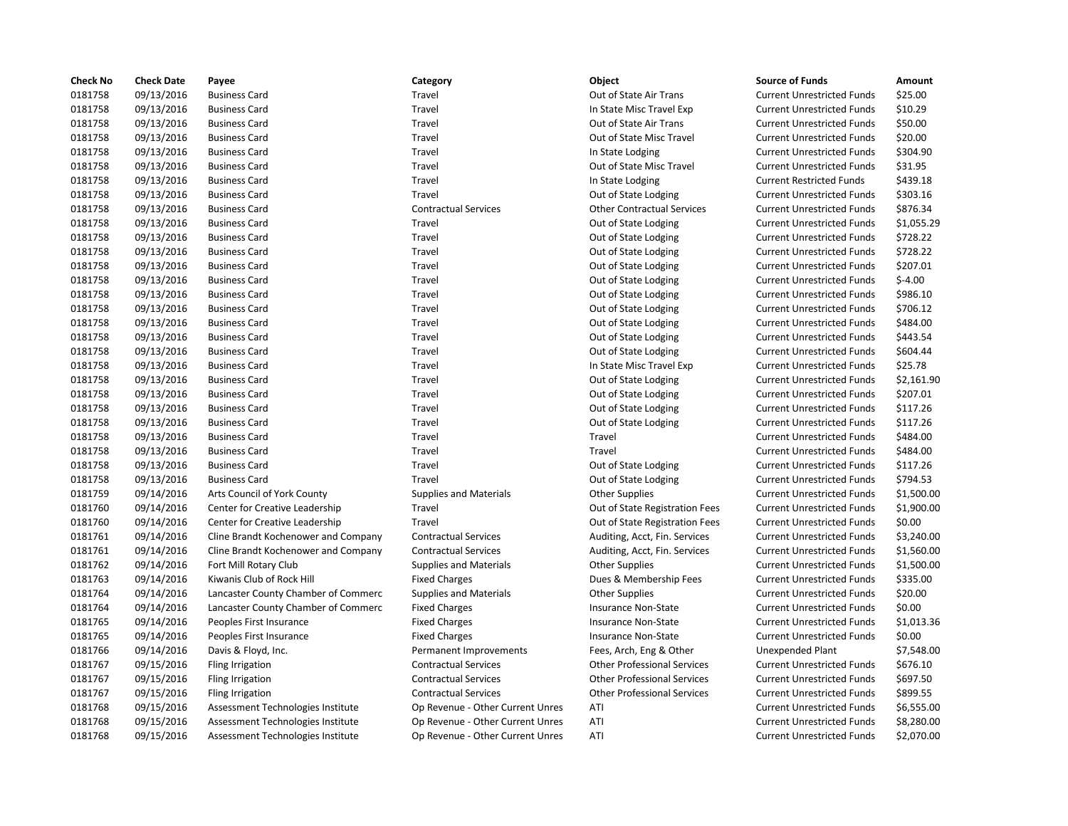| <b>Check No</b> | <b>Check Date</b> | Payee                               | Category                         | <b>Object</b>                      | <b>Source of Funds</b>            | Amount     |
|-----------------|-------------------|-------------------------------------|----------------------------------|------------------------------------|-----------------------------------|------------|
| 0181758         | 09/13/2016        | <b>Business Card</b>                | Travel                           | Out of State Air Trans             | <b>Current Unrestricted Funds</b> | \$25.00    |
| 0181758         | 09/13/2016        | <b>Business Card</b>                | Travel                           | In State Misc Travel Exp           | <b>Current Unrestricted Funds</b> | \$10.29    |
| 0181758         | 09/13/2016        | <b>Business Card</b>                | Travel                           | Out of State Air Trans             | <b>Current Unrestricted Funds</b> | \$50.00    |
| 0181758         | 09/13/2016        | <b>Business Card</b>                | Travel                           | Out of State Misc Travel           | <b>Current Unrestricted Funds</b> | \$20.00    |
| 0181758         | 09/13/2016        | <b>Business Card</b>                | Travel                           | In State Lodging                   | <b>Current Unrestricted Funds</b> | \$304.90   |
| 0181758         | 09/13/2016        | <b>Business Card</b>                | Travel                           | Out of State Misc Travel           | <b>Current Unrestricted Funds</b> | \$31.95    |
| 0181758         | 09/13/2016        | <b>Business Card</b>                | Travel                           | In State Lodging                   | <b>Current Restricted Funds</b>   | \$439.18   |
| 0181758         | 09/13/2016        | <b>Business Card</b>                | Travel                           | Out of State Lodging               | <b>Current Unrestricted Funds</b> | \$303.16   |
| 0181758         | 09/13/2016        | <b>Business Card</b>                | <b>Contractual Services</b>      | <b>Other Contractual Services</b>  | <b>Current Unrestricted Funds</b> | \$876.34   |
| 0181758         | 09/13/2016        | <b>Business Card</b>                | Travel                           | Out of State Lodging               | <b>Current Unrestricted Funds</b> | \$1,055.29 |
| 0181758         | 09/13/2016        | <b>Business Card</b>                | Travel                           | Out of State Lodging               | <b>Current Unrestricted Funds</b> | \$728.22   |
| 0181758         | 09/13/2016        | <b>Business Card</b>                | Travel                           | Out of State Lodging               | <b>Current Unrestricted Funds</b> | \$728.22   |
| 0181758         | 09/13/2016        | <b>Business Card</b>                | Travel                           | Out of State Lodging               | <b>Current Unrestricted Funds</b> | \$207.01   |
| 0181758         | 09/13/2016        | <b>Business Card</b>                | Travel                           | Out of State Lodging               | <b>Current Unrestricted Funds</b> | $$-4.00$   |
| 0181758         | 09/13/2016        | <b>Business Card</b>                | Travel                           | Out of State Lodging               | <b>Current Unrestricted Funds</b> | \$986.10   |
| 0181758         | 09/13/2016        | <b>Business Card</b>                | Travel                           | Out of State Lodging               | <b>Current Unrestricted Funds</b> | \$706.12   |
| 0181758         | 09/13/2016        | <b>Business Card</b>                | Travel                           | Out of State Lodging               | <b>Current Unrestricted Funds</b> | \$484.00   |
| 0181758         | 09/13/2016        | <b>Business Card</b>                | Travel                           | Out of State Lodging               | <b>Current Unrestricted Funds</b> | \$443.54   |
| 0181758         | 09/13/2016        | <b>Business Card</b>                | Travel                           | Out of State Lodging               | <b>Current Unrestricted Funds</b> | \$604.44   |
| 0181758         | 09/13/2016        | <b>Business Card</b>                | Travel                           | In State Misc Travel Exp           | <b>Current Unrestricted Funds</b> | \$25.78    |
| 0181758         | 09/13/2016        | <b>Business Card</b>                | Travel                           | Out of State Lodging               | <b>Current Unrestricted Funds</b> | \$2,161.90 |
| 0181758         | 09/13/2016        | <b>Business Card</b>                | Travel                           | Out of State Lodging               | <b>Current Unrestricted Funds</b> | \$207.01   |
| 0181758         | 09/13/2016        | <b>Business Card</b>                | Travel                           | Out of State Lodging               | <b>Current Unrestricted Funds</b> | \$117.26   |
| 0181758         | 09/13/2016        | <b>Business Card</b>                | Travel                           | Out of State Lodging               | <b>Current Unrestricted Funds</b> | \$117.26   |
| 0181758         | 09/13/2016        | <b>Business Card</b>                | Travel                           | Travel                             | <b>Current Unrestricted Funds</b> | \$484.00   |
| 0181758         | 09/13/2016        | <b>Business Card</b>                | Travel                           | Travel                             | <b>Current Unrestricted Funds</b> | \$484.00   |
| 0181758         | 09/13/2016        | <b>Business Card</b>                | Travel                           | Out of State Lodging               | <b>Current Unrestricted Funds</b> | \$117.26   |
| 0181758         | 09/13/2016        | <b>Business Card</b>                | Travel                           | Out of State Lodging               | <b>Current Unrestricted Funds</b> | \$794.53   |
| 0181759         | 09/14/2016        | Arts Council of York County         | <b>Supplies and Materials</b>    | <b>Other Supplies</b>              | <b>Current Unrestricted Funds</b> | \$1,500.00 |
| 0181760         | 09/14/2016        | Center for Creative Leadership      | Travel                           | Out of State Registration Fees     | <b>Current Unrestricted Funds</b> | \$1,900.00 |
| 0181760         | 09/14/2016        | Center for Creative Leadership      | Travel                           | Out of State Registration Fees     | <b>Current Unrestricted Funds</b> | \$0.00     |
| 0181761         | 09/14/2016        | Cline Brandt Kochenower and Company | <b>Contractual Services</b>      | Auditing, Acct, Fin. Services      | <b>Current Unrestricted Funds</b> | \$3,240.00 |
| 0181761         | 09/14/2016        | Cline Brandt Kochenower and Company | <b>Contractual Services</b>      | Auditing, Acct, Fin. Services      | <b>Current Unrestricted Funds</b> | \$1,560.00 |
| 0181762         | 09/14/2016        | Fort Mill Rotary Club               | <b>Supplies and Materials</b>    | <b>Other Supplies</b>              | <b>Current Unrestricted Funds</b> | \$1,500.00 |
| 0181763         | 09/14/2016        | Kiwanis Club of Rock Hill           | <b>Fixed Charges</b>             | Dues & Membership Fees             | <b>Current Unrestricted Funds</b> | \$335.00   |
| 0181764         | 09/14/2016        | Lancaster County Chamber of Commerc | <b>Supplies and Materials</b>    | <b>Other Supplies</b>              | <b>Current Unrestricted Funds</b> | \$20.00    |
| 0181764         | 09/14/2016        | Lancaster County Chamber of Commerc | <b>Fixed Charges</b>             | <b>Insurance Non-State</b>         | <b>Current Unrestricted Funds</b> | \$0.00     |
| 0181765         | 09/14/2016        | Peoples First Insurance             | <b>Fixed Charges</b>             | Insurance Non-State                | <b>Current Unrestricted Funds</b> | \$1,013.36 |
| 0181765         | 09/14/2016        | Peoples First Insurance             | <b>Fixed Charges</b>             | Insurance Non-State                | <b>Current Unrestricted Funds</b> | \$0.00     |
| 0181766         | 09/14/2016        | Davis & Floyd, Inc.                 | Permanent Improvements           | Fees, Arch, Eng & Other            | <b>Unexpended Plant</b>           | \$7,548.00 |
| 0181767         | 09/15/2016        | Fling Irrigation                    | <b>Contractual Services</b>      | <b>Other Professional Services</b> | <b>Current Unrestricted Funds</b> | \$676.10   |
| 0181767         | 09/15/2016        | Fling Irrigation                    | <b>Contractual Services</b>      | <b>Other Professional Services</b> | <b>Current Unrestricted Funds</b> | \$697.50   |
| 0181767         | 09/15/2016        | Fling Irrigation                    | <b>Contractual Services</b>      | <b>Other Professional Services</b> | <b>Current Unrestricted Funds</b> | \$899.55   |
| 0181768         | 09/15/2016        | Assessment Technologies Institute   | Op Revenue - Other Current Unres | ATI                                | <b>Current Unrestricted Funds</b> | \$6,555.00 |
| 0181768         | 09/15/2016        | Assessment Technologies Institute   | Op Revenue - Other Current Unres | ATI                                | <b>Current Unrestricted Funds</b> | \$8,280.00 |
| 0181768         | 09/15/2016        | Assessment Technologies Institute   | Op Revenue - Other Current Unres | ATI                                | <b>Current Unrestricted Funds</b> | \$2,070.00 |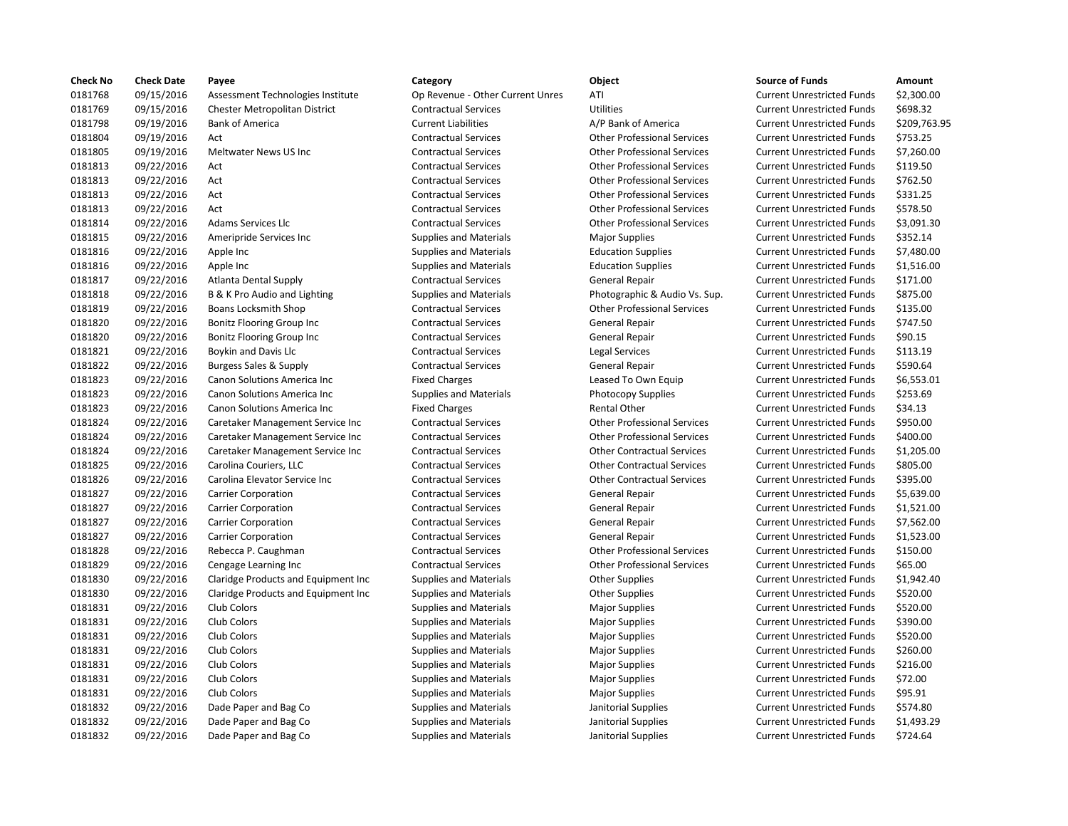| <b>Check No</b> | <b>Check Date</b> | Payee                                | Category                         | Object                             | <b>Source of Funds</b>            | Amount    |
|-----------------|-------------------|--------------------------------------|----------------------------------|------------------------------------|-----------------------------------|-----------|
| 0181768         | 09/15/2016        | Assessment Technologies Institute    | Op Revenue - Other Current Unres | ATI                                | <b>Current Unrestricted Funds</b> | \$2,300.0 |
| 0181769         | 09/15/2016        | Chester Metropolitan District        | <b>Contractual Services</b>      | <b>Utilities</b>                   | <b>Current Unrestricted Funds</b> | \$698.32  |
| 0181798         | 09/19/2016        | <b>Bank of America</b>               | <b>Current Liabilities</b>       | A/P Bank of America                | <b>Current Unrestricted Funds</b> | \$209,76  |
| 0181804         | 09/19/2016        | Act                                  | <b>Contractual Services</b>      | <b>Other Professional Services</b> | <b>Current Unrestricted Funds</b> | \$753.25  |
| 0181805         | 09/19/2016        | Meltwater News US Inc                | <b>Contractual Services</b>      | <b>Other Professional Services</b> | <b>Current Unrestricted Funds</b> | \$7,260.0 |
| 0181813         | 09/22/2016        | Act                                  | <b>Contractual Services</b>      | <b>Other Professional Services</b> | <b>Current Unrestricted Funds</b> | \$119.50  |
| 0181813         | 09/22/2016        | Act                                  | <b>Contractual Services</b>      | <b>Other Professional Services</b> | <b>Current Unrestricted Funds</b> | \$762.50  |
| 0181813         | 09/22/2016        | Act                                  | <b>Contractual Services</b>      | <b>Other Professional Services</b> | <b>Current Unrestricted Funds</b> | \$331.25  |
| 0181813         | 09/22/2016        | Act                                  | <b>Contractual Services</b>      | <b>Other Professional Services</b> | <b>Current Unrestricted Funds</b> | \$578.50  |
| 0181814         | 09/22/2016        | Adams Services Llc                   | <b>Contractual Services</b>      | <b>Other Professional Services</b> | <b>Current Unrestricted Funds</b> | \$3,091.3 |
| 0181815         | 09/22/2016        | Ameripride Services Inc              | <b>Supplies and Materials</b>    | <b>Major Supplies</b>              | <b>Current Unrestricted Funds</b> | \$352.14  |
| 0181816         | 09/22/2016        | Apple Inc                            | <b>Supplies and Materials</b>    | <b>Education Supplies</b>          | <b>Current Unrestricted Funds</b> | \$7,480.0 |
| 0181816         | 09/22/2016        | Apple Inc                            | <b>Supplies and Materials</b>    | <b>Education Supplies</b>          | <b>Current Unrestricted Funds</b> | \$1,516.0 |
| 0181817         | 09/22/2016        | Atlanta Dental Supply                | <b>Contractual Services</b>      | <b>General Repair</b>              | <b>Current Unrestricted Funds</b> | \$171.00  |
| 0181818         | 09/22/2016        | B & K Pro Audio and Lighting         | <b>Supplies and Materials</b>    | Photographic & Audio Vs. Sup.      | <b>Current Unrestricted Funds</b> | \$875.00  |
| 0181819         | 09/22/2016        | Boans Locksmith Shop                 | <b>Contractual Services</b>      | <b>Other Professional Services</b> | <b>Current Unrestricted Funds</b> | \$135.00  |
| 0181820         | 09/22/2016        | <b>Bonitz Flooring Group Inc</b>     | <b>Contractual Services</b>      | <b>General Repair</b>              | <b>Current Unrestricted Funds</b> | \$747.50  |
| 0181820         | 09/22/2016        | Bonitz Flooring Group Inc            | <b>Contractual Services</b>      | General Repair                     | <b>Current Unrestricted Funds</b> | \$90.15   |
| 0181821         | 09/22/2016        | <b>Boykin and Davis Llc</b>          | <b>Contractual Services</b>      | <b>Legal Services</b>              | <b>Current Unrestricted Funds</b> | \$113.19  |
| 0181822         | 09/22/2016        | Burgess Sales & Supply               | <b>Contractual Services</b>      | General Repair                     | <b>Current Unrestricted Funds</b> | \$590.64  |
| 0181823         | 09/22/2016        | Canon Solutions America Inc          | <b>Fixed Charges</b>             | Leased To Own Equip                | <b>Current Unrestricted Funds</b> | \$6,553.0 |
| 0181823         | 09/22/2016        | Canon Solutions America Inc          | <b>Supplies and Materials</b>    | Photocopy Supplies                 | <b>Current Unrestricted Funds</b> | \$253.69  |
| 0181823         | 09/22/2016        | Canon Solutions America Inc          | <b>Fixed Charges</b>             | <b>Rental Other</b>                | <b>Current Unrestricted Funds</b> | \$34.13   |
| 0181824         | 09/22/2016        | Caretaker Management Service Inc     | <b>Contractual Services</b>      | <b>Other Professional Services</b> | <b>Current Unrestricted Funds</b> | \$950.00  |
| 0181824         | 09/22/2016        | Caretaker Management Service Inc     | <b>Contractual Services</b>      | <b>Other Professional Services</b> | <b>Current Unrestricted Funds</b> | \$400.00  |
| 0181824         | 09/22/2016        | Caretaker Management Service Inc     | <b>Contractual Services</b>      | <b>Other Contractual Services</b>  | <b>Current Unrestricted Funds</b> | \$1,205.0 |
| 0181825         | 09/22/2016        | Carolina Couriers, LLC               | <b>Contractual Services</b>      | <b>Other Contractual Services</b>  | <b>Current Unrestricted Funds</b> | \$805.00  |
| 0181826         | 09/22/2016        | Carolina Elevator Service Inc        | <b>Contractual Services</b>      | <b>Other Contractual Services</b>  | <b>Current Unrestricted Funds</b> | \$395.00  |
| 0181827         | 09/22/2016        | <b>Carrier Corporation</b>           | <b>Contractual Services</b>      | General Repair                     | <b>Current Unrestricted Funds</b> | \$5,639.0 |
| 0181827         | 09/22/2016        | <b>Carrier Corporation</b>           | <b>Contractual Services</b>      | <b>General Repair</b>              | <b>Current Unrestricted Funds</b> | \$1,521.0 |
| 0181827         | 09/22/2016        | <b>Carrier Corporation</b>           | <b>Contractual Services</b>      | General Repair                     | <b>Current Unrestricted Funds</b> | \$7,562.0 |
| 0181827         | 09/22/2016        | <b>Carrier Corporation</b>           | <b>Contractual Services</b>      | General Repair                     | <b>Current Unrestricted Funds</b> | \$1,523.0 |
| 0181828         | 09/22/2016        | Rebecca P. Caughman                  | <b>Contractual Services</b>      | <b>Other Professional Services</b> | <b>Current Unrestricted Funds</b> | \$150.00  |
| 0181829         | 09/22/2016        | Cengage Learning Inc                 | <b>Contractual Services</b>      | <b>Other Professional Services</b> | <b>Current Unrestricted Funds</b> | \$65.00   |
| 0181830         | 09/22/2016        | Claridge Products and Equipment Inc. | <b>Supplies and Materials</b>    | <b>Other Supplies</b>              | <b>Current Unrestricted Funds</b> | \$1,942.4 |
| 0181830         | 09/22/2016        | Claridge Products and Equipment Inc  | <b>Supplies and Materials</b>    | <b>Other Supplies</b>              | <b>Current Unrestricted Funds</b> | \$520.00  |
| 0181831         | 09/22/2016        | Club Colors                          | <b>Supplies and Materials</b>    | <b>Major Supplies</b>              | <b>Current Unrestricted Funds</b> | \$520.00  |
| 0181831         | 09/22/2016        | Club Colors                          | <b>Supplies and Materials</b>    | <b>Major Supplies</b>              | <b>Current Unrestricted Funds</b> | \$390.00  |
| 0181831         | 09/22/2016        | Club Colors                          | <b>Supplies and Materials</b>    | <b>Major Supplies</b>              | <b>Current Unrestricted Funds</b> | \$520.00  |
| 0181831         | 09/22/2016        | Club Colors                          | <b>Supplies and Materials</b>    | <b>Major Supplies</b>              | <b>Current Unrestricted Funds</b> | \$260.00  |
| 0181831         | 09/22/2016        | Club Colors                          | <b>Supplies and Materials</b>    | <b>Major Supplies</b>              | <b>Current Unrestricted Funds</b> | \$216.00  |
| 0181831         | 09/22/2016        | Club Colors                          | <b>Supplies and Materials</b>    | <b>Major Supplies</b>              | <b>Current Unrestricted Funds</b> | \$72.00   |
| 0181831         | 09/22/2016        | Club Colors                          | Supplies and Materials           | <b>Major Supplies</b>              | <b>Current Unrestricted Funds</b> | \$95.91   |
| 0181832         | 09/22/2016        | Dade Paper and Bag Co                | <b>Supplies and Materials</b>    | Janitorial Supplies                | <b>Current Unrestricted Funds</b> | \$574.80  |
| 0181832         | 09/22/2016        | Dade Paper and Bag Co                | <b>Supplies and Materials</b>    | Janitorial Supplies                | <b>Current Unrestricted Funds</b> | \$1,493.2 |
| 0181832         | 09/22/2016        | Dade Paper and Bag Co                | <b>Supplies and Materials</b>    | Janitorial Supplies                | <b>Current Unrestricted Funds</b> | \$724.64  |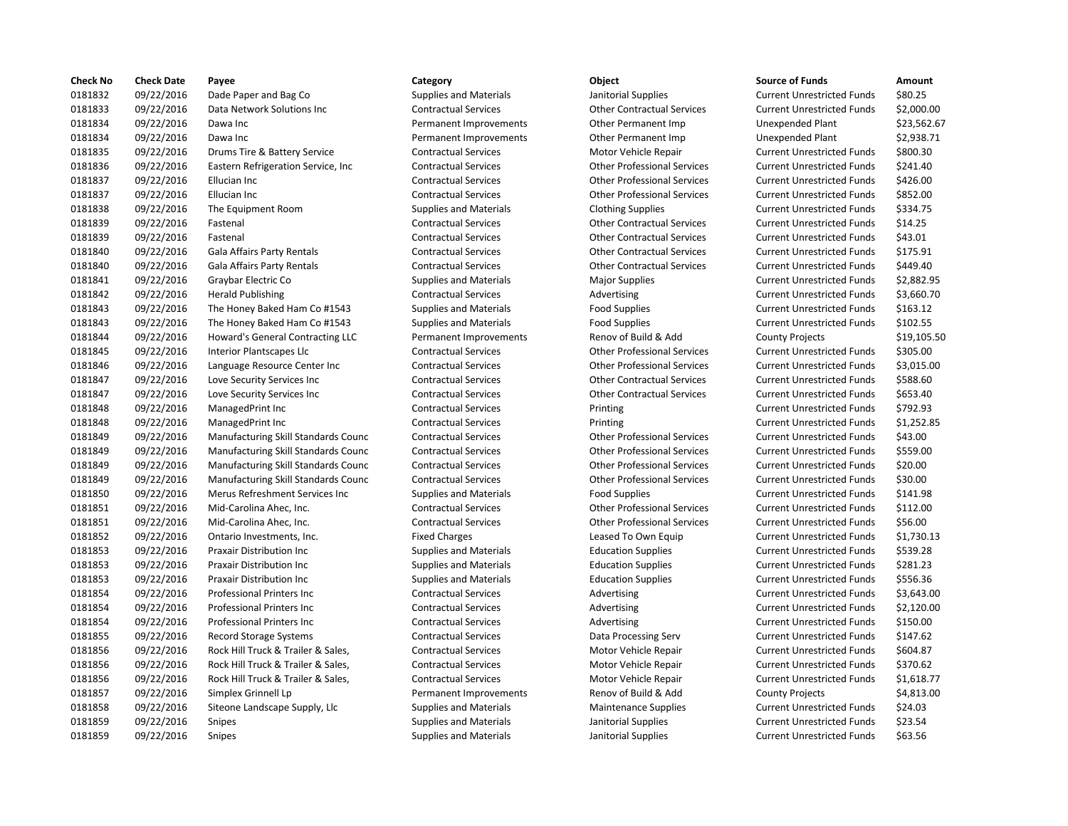| <b>Check No</b> | <b>Check Date</b> | Payee                               | Category                      | <b>Object</b>                      | <b>Source of Funds</b>            | Amount    |
|-----------------|-------------------|-------------------------------------|-------------------------------|------------------------------------|-----------------------------------|-----------|
| 0181832         | 09/22/2016        | Dade Paper and Bag Co               | <b>Supplies and Materials</b> | Janitorial Supplies                | <b>Current Unrestricted Funds</b> | \$80.25   |
| 0181833         | 09/22/2016        | Data Network Solutions Inc          | <b>Contractual Services</b>   | <b>Other Contractual Services</b>  | <b>Current Unrestricted Funds</b> | \$2,000.0 |
| 0181834         | 09/22/2016        | Dawa Inc                            | Permanent Improvements        | Other Permanent Imp                | <b>Unexpended Plant</b>           | \$23,562  |
| 0181834         | 09/22/2016        | Dawa Inc                            | Permanent Improvements        | Other Permanent Imp                | <b>Unexpended Plant</b>           | \$2,938.7 |
| 0181835         | 09/22/2016        | Drums Tire & Battery Service        | <b>Contractual Services</b>   | Motor Vehicle Repair               | <b>Current Unrestricted Funds</b> | \$800.30  |
| 0181836         | 09/22/2016        | Eastern Refrigeration Service, Inc. | <b>Contractual Services</b>   | <b>Other Professional Services</b> | <b>Current Unrestricted Funds</b> | \$241.40  |
| 0181837         | 09/22/2016        | Ellucian Inc                        | <b>Contractual Services</b>   | <b>Other Professional Services</b> | <b>Current Unrestricted Funds</b> | \$426.00  |
| 0181837         | 09/22/2016        | Ellucian Inc                        | <b>Contractual Services</b>   | <b>Other Professional Services</b> | <b>Current Unrestricted Funds</b> | \$852.00  |
| 0181838         | 09/22/2016        | The Equipment Room                  | <b>Supplies and Materials</b> | <b>Clothing Supplies</b>           | <b>Current Unrestricted Funds</b> | \$334.75  |
| 0181839         | 09/22/2016        | Fastenal                            | <b>Contractual Services</b>   | <b>Other Contractual Services</b>  | <b>Current Unrestricted Funds</b> | \$14.25   |
| 0181839         | 09/22/2016        | Fastenal                            | <b>Contractual Services</b>   | <b>Other Contractual Services</b>  | <b>Current Unrestricted Funds</b> | \$43.01   |
| 0181840         | 09/22/2016        | Gala Affairs Party Rentals          | <b>Contractual Services</b>   | <b>Other Contractual Services</b>  | <b>Current Unrestricted Funds</b> | \$175.91  |
| 0181840         | 09/22/2016        | Gala Affairs Party Rentals          | <b>Contractual Services</b>   | <b>Other Contractual Services</b>  | <b>Current Unrestricted Funds</b> | \$449.40  |
| 0181841         | 09/22/2016        | Graybar Electric Co                 | <b>Supplies and Materials</b> | <b>Major Supplies</b>              | <b>Current Unrestricted Funds</b> | \$2,882.9 |
| 0181842         | 09/22/2016        | <b>Herald Publishing</b>            | <b>Contractual Services</b>   | Advertising                        | <b>Current Unrestricted Funds</b> | \$3,660.7 |
| 0181843         | 09/22/2016        | The Honey Baked Ham Co #1543        | <b>Supplies and Materials</b> | <b>Food Supplies</b>               | <b>Current Unrestricted Funds</b> | \$163.12  |
| 0181843         | 09/22/2016        | The Honey Baked Ham Co #1543        | <b>Supplies and Materials</b> | <b>Food Supplies</b>               | <b>Current Unrestricted Funds</b> | \$102.55  |
| 0181844         | 09/22/2016        | Howard's General Contracting LLC    | Permanent Improvements        | Renov of Build & Add               | <b>County Projects</b>            | \$19,105  |
| 0181845         | 09/22/2016        | <b>Interior Plantscapes Llc</b>     | <b>Contractual Services</b>   | <b>Other Professional Services</b> | <b>Current Unrestricted Funds</b> | \$305.00  |
| 0181846         | 09/22/2016        | Language Resource Center Inc        | <b>Contractual Services</b>   | <b>Other Professional Services</b> | <b>Current Unrestricted Funds</b> | \$3,015.0 |
| 0181847         | 09/22/2016        | Love Security Services Inc          | <b>Contractual Services</b>   | <b>Other Contractual Services</b>  | <b>Current Unrestricted Funds</b> | \$588.60  |
| 0181847         | 09/22/2016        | Love Security Services Inc          | <b>Contractual Services</b>   | <b>Other Contractual Services</b>  | <b>Current Unrestricted Funds</b> | \$653.40  |
| 0181848         | 09/22/2016        | ManagedPrint Inc                    | <b>Contractual Services</b>   | Printing                           | <b>Current Unrestricted Funds</b> | \$792.93  |
| 0181848         | 09/22/2016        | ManagedPrint Inc                    | <b>Contractual Services</b>   | Printing                           | <b>Current Unrestricted Funds</b> | \$1,252.8 |
| 0181849         | 09/22/2016        | Manufacturing Skill Standards Counc | <b>Contractual Services</b>   | <b>Other Professional Services</b> | <b>Current Unrestricted Funds</b> | \$43.00   |
| 0181849         | 09/22/2016        | Manufacturing Skill Standards Counc | <b>Contractual Services</b>   | <b>Other Professional Services</b> | <b>Current Unrestricted Funds</b> | \$559.00  |
| 0181849         | 09/22/2016        | Manufacturing Skill Standards Counc | <b>Contractual Services</b>   | <b>Other Professional Services</b> | <b>Current Unrestricted Funds</b> | \$20.00   |
| 0181849         | 09/22/2016        | Manufacturing Skill Standards Counc | <b>Contractual Services</b>   | <b>Other Professional Services</b> | <b>Current Unrestricted Funds</b> | \$30.00   |
| 0181850         | 09/22/2016        | Merus Refreshment Services Inc      | <b>Supplies and Materials</b> | <b>Food Supplies</b>               | <b>Current Unrestricted Funds</b> | \$141.98  |
| 0181851         | 09/22/2016        | Mid-Carolina Ahec, Inc.             | <b>Contractual Services</b>   | <b>Other Professional Services</b> | <b>Current Unrestricted Funds</b> | \$112.00  |
| 0181851         | 09/22/2016        | Mid-Carolina Ahec, Inc.             | <b>Contractual Services</b>   | <b>Other Professional Services</b> | <b>Current Unrestricted Funds</b> | \$56.00   |
| 0181852         | 09/22/2016        | Ontario Investments, Inc.           | <b>Fixed Charges</b>          | Leased To Own Equip                | <b>Current Unrestricted Funds</b> | \$1,730.1 |
| 0181853         | 09/22/2016        | Praxair Distribution Inc            | <b>Supplies and Materials</b> | <b>Education Supplies</b>          | <b>Current Unrestricted Funds</b> | \$539.28  |
| 0181853         | 09/22/2016        | <b>Praxair Distribution Inc</b>     | <b>Supplies and Materials</b> | <b>Education Supplies</b>          | <b>Current Unrestricted Funds</b> | \$281.23  |
| 0181853         | 09/22/2016        | Praxair Distribution Inc            | <b>Supplies and Materials</b> | <b>Education Supplies</b>          | <b>Current Unrestricted Funds</b> | \$556.36  |
| 0181854         | 09/22/2016        | Professional Printers Inc           | <b>Contractual Services</b>   | Advertising                        | <b>Current Unrestricted Funds</b> | \$3,643.0 |
| 0181854         | 09/22/2016        | <b>Professional Printers Inc.</b>   | <b>Contractual Services</b>   | Advertising                        | <b>Current Unrestricted Funds</b> | \$2,120.0 |
| 0181854         | 09/22/2016        | Professional Printers Inc           | <b>Contractual Services</b>   | Advertising                        | <b>Current Unrestricted Funds</b> | \$150.00  |
| 0181855         | 09/22/2016        | Record Storage Systems              | <b>Contractual Services</b>   | Data Processing Serv               | <b>Current Unrestricted Funds</b> | \$147.62  |
| 0181856         | 09/22/2016        | Rock Hill Truck & Trailer & Sales,  | <b>Contractual Services</b>   | Motor Vehicle Repair               | <b>Current Unrestricted Funds</b> | \$604.87  |
| 0181856         | 09/22/2016        | Rock Hill Truck & Trailer & Sales,  | <b>Contractual Services</b>   | Motor Vehicle Repair               | <b>Current Unrestricted Funds</b> | \$370.62  |
| 0181856         | 09/22/2016        | Rock Hill Truck & Trailer & Sales,  | <b>Contractual Services</b>   | Motor Vehicle Repair               | <b>Current Unrestricted Funds</b> | \$1,618.7 |
| 0181857         | 09/22/2016        | Simplex Grinnell Lp                 | Permanent Improvements        | Renov of Build & Add               | <b>County Projects</b>            | \$4,813.0 |
| 0181858         | 09/22/2016        | Siteone Landscape Supply, Llc       | <b>Supplies and Materials</b> | <b>Maintenance Supplies</b>        | <b>Current Unrestricted Funds</b> | \$24.03   |
| 0181859         | 09/22/2016        | <b>Snipes</b>                       | <b>Supplies and Materials</b> | Janitorial Supplies                | <b>Current Unrestricted Funds</b> | \$23.54   |
| 0181859         | 09/22/2016        | Snipes                              | <b>Supplies and Materials</b> | Janitorial Supplies                | <b>Current Unrestricted Funds</b> | \$63.56   |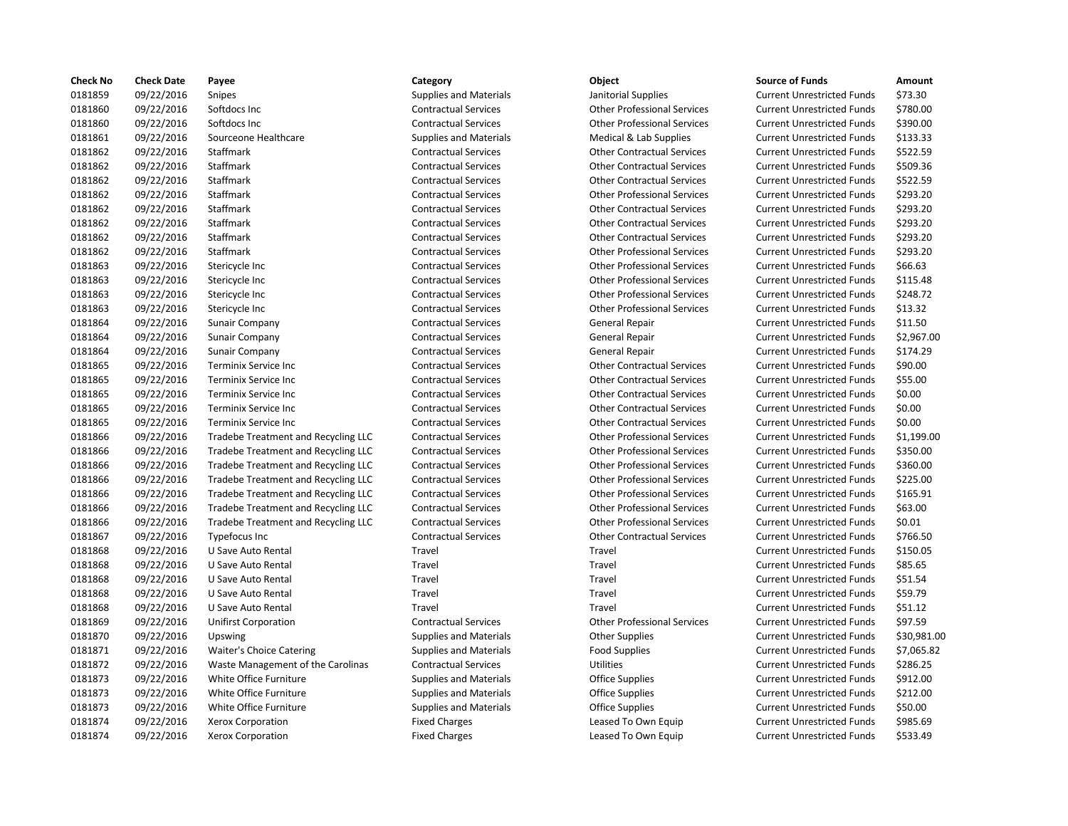| <b>Check No</b> | <b>Check Date</b> | Payee                               | Category                      | <b>Object</b>                      | <b>Source of Funds</b>            | Amount    |
|-----------------|-------------------|-------------------------------------|-------------------------------|------------------------------------|-----------------------------------|-----------|
| 0181859         | 09/22/2016        | <b>Snipes</b>                       | <b>Supplies and Materials</b> | Janitorial Supplies                | <b>Current Unrestricted Funds</b> | \$73.30   |
| 0181860         | 09/22/2016        | Softdocs Inc                        | <b>Contractual Services</b>   | <b>Other Professional Services</b> | <b>Current Unrestricted Funds</b> | \$780.00  |
| 0181860         | 09/22/2016        | Softdocs Inc                        | <b>Contractual Services</b>   | <b>Other Professional Services</b> | <b>Current Unrestricted Funds</b> | \$390.00  |
| 0181861         | 09/22/2016        | Sourceone Healthcare                | <b>Supplies and Materials</b> | Medical & Lab Supplies             | <b>Current Unrestricted Funds</b> | \$133.33  |
| 0181862         | 09/22/2016        | Staffmark                           | <b>Contractual Services</b>   | <b>Other Contractual Services</b>  | <b>Current Unrestricted Funds</b> | \$522.59  |
| 0181862         | 09/22/2016        | Staffmark                           | <b>Contractual Services</b>   | <b>Other Contractual Services</b>  | <b>Current Unrestricted Funds</b> | \$509.36  |
| 0181862         | 09/22/2016        | Staffmark                           | <b>Contractual Services</b>   | <b>Other Contractual Services</b>  | <b>Current Unrestricted Funds</b> | \$522.59  |
| 0181862         | 09/22/2016        | Staffmark                           | <b>Contractual Services</b>   | <b>Other Professional Services</b> | <b>Current Unrestricted Funds</b> | \$293.20  |
| 0181862         | 09/22/2016        | Staffmark                           | <b>Contractual Services</b>   | <b>Other Contractual Services</b>  | <b>Current Unrestricted Funds</b> | \$293.20  |
| 0181862         | 09/22/2016        | Staffmark                           | <b>Contractual Services</b>   | <b>Other Contractual Services</b>  | <b>Current Unrestricted Funds</b> | \$293.20  |
| 0181862         | 09/22/2016        | Staffmark                           | <b>Contractual Services</b>   | <b>Other Contractual Services</b>  | <b>Current Unrestricted Funds</b> | \$293.20  |
| 0181862         | 09/22/2016        | Staffmark                           | <b>Contractual Services</b>   | <b>Other Professional Services</b> | <b>Current Unrestricted Funds</b> | \$293.20  |
| 0181863         | 09/22/2016        | Stericycle Inc                      | <b>Contractual Services</b>   | <b>Other Professional Services</b> | <b>Current Unrestricted Funds</b> | \$66.63   |
| 0181863         | 09/22/2016        | Stericycle Inc                      | <b>Contractual Services</b>   | <b>Other Professional Services</b> | <b>Current Unrestricted Funds</b> | \$115.48  |
| 0181863         | 09/22/2016        | Stericycle Inc                      | <b>Contractual Services</b>   | <b>Other Professional Services</b> | <b>Current Unrestricted Funds</b> | \$248.72  |
| 0181863         | 09/22/2016        | Stericycle Inc                      | <b>Contractual Services</b>   | <b>Other Professional Services</b> | <b>Current Unrestricted Funds</b> | \$13.32   |
| 0181864         | 09/22/2016        | Sunair Company                      | <b>Contractual Services</b>   | General Repair                     | <b>Current Unrestricted Funds</b> | \$11.50   |
| 0181864         | 09/22/2016        | <b>Sunair Company</b>               | <b>Contractual Services</b>   | General Repair                     | <b>Current Unrestricted Funds</b> | \$2,967.0 |
| 0181864         | 09/22/2016        | <b>Sunair Company</b>               | <b>Contractual Services</b>   | General Repair                     | <b>Current Unrestricted Funds</b> | \$174.29  |
| 0181865         | 09/22/2016        | <b>Terminix Service Inc</b>         | <b>Contractual Services</b>   | <b>Other Contractual Services</b>  | <b>Current Unrestricted Funds</b> | \$90.00   |
| 0181865         | 09/22/2016        | Terminix Service Inc                | <b>Contractual Services</b>   | <b>Other Contractual Services</b>  | <b>Current Unrestricted Funds</b> | \$55.00   |
| 0181865         | 09/22/2016        | <b>Terminix Service Inc</b>         | <b>Contractual Services</b>   | <b>Other Contractual Services</b>  | <b>Current Unrestricted Funds</b> | \$0.00    |
| 0181865         | 09/22/2016        | <b>Terminix Service Inc</b>         | <b>Contractual Services</b>   | <b>Other Contractual Services</b>  | <b>Current Unrestricted Funds</b> | \$0.00    |
| 0181865         | 09/22/2016        | Terminix Service Inc                | <b>Contractual Services</b>   | <b>Other Contractual Services</b>  | <b>Current Unrestricted Funds</b> | \$0.00    |
| 0181866         | 09/22/2016        | Tradebe Treatment and Recycling LLC | <b>Contractual Services</b>   | <b>Other Professional Services</b> | <b>Current Unrestricted Funds</b> | \$1,199.0 |
| 0181866         | 09/22/2016        | Tradebe Treatment and Recycling LLC | <b>Contractual Services</b>   | <b>Other Professional Services</b> | <b>Current Unrestricted Funds</b> | \$350.00  |
| 0181866         | 09/22/2016        | Tradebe Treatment and Recycling LLC | <b>Contractual Services</b>   | <b>Other Professional Services</b> | <b>Current Unrestricted Funds</b> | \$360.00  |
| 0181866         | 09/22/2016        | Tradebe Treatment and Recycling LLC | <b>Contractual Services</b>   | <b>Other Professional Services</b> | <b>Current Unrestricted Funds</b> | \$225.00  |
| 0181866         | 09/22/2016        | Tradebe Treatment and Recycling LLC | <b>Contractual Services</b>   | <b>Other Professional Services</b> | <b>Current Unrestricted Funds</b> | \$165.91  |
| 0181866         | 09/22/2016        | Tradebe Treatment and Recycling LLC | <b>Contractual Services</b>   | <b>Other Professional Services</b> | <b>Current Unrestricted Funds</b> | \$63.00   |
| 0181866         | 09/22/2016        | Tradebe Treatment and Recycling LLC | <b>Contractual Services</b>   | <b>Other Professional Services</b> | <b>Current Unrestricted Funds</b> | \$0.01    |
| 0181867         | 09/22/2016        | <b>Typefocus Inc</b>                | <b>Contractual Services</b>   | <b>Other Contractual Services</b>  | <b>Current Unrestricted Funds</b> | \$766.50  |
| 0181868         | 09/22/2016        | U Save Auto Rental                  | Travel                        | Travel                             | <b>Current Unrestricted Funds</b> | \$150.05  |
| 0181868         | 09/22/2016        | U Save Auto Rental                  | Travel                        | Travel                             | <b>Current Unrestricted Funds</b> | \$85.65   |
| 0181868         | 09/22/2016        | U Save Auto Rental                  | Travel                        | Travel                             | <b>Current Unrestricted Funds</b> | \$51.54   |
| 0181868         | 09/22/2016        | U Save Auto Rental                  | Travel                        | Travel                             | <b>Current Unrestricted Funds</b> | \$59.79   |
| 0181868         | 09/22/2016        | U Save Auto Rental                  | Travel                        | Travel                             | <b>Current Unrestricted Funds</b> | \$51.12   |
| 0181869         | 09/22/2016        | <b>Unifirst Corporation</b>         | <b>Contractual Services</b>   | <b>Other Professional Services</b> | <b>Current Unrestricted Funds</b> | \$97.59   |
| 0181870         | 09/22/2016        | Upswing                             | <b>Supplies and Materials</b> | <b>Other Supplies</b>              | <b>Current Unrestricted Funds</b> | \$30,981  |
| 0181871         | 09/22/2016        | Waiter's Choice Catering            | <b>Supplies and Materials</b> | <b>Food Supplies</b>               | <b>Current Unrestricted Funds</b> | \$7,065.8 |
| 0181872         | 09/22/2016        | Waste Management of the Carolinas   | <b>Contractual Services</b>   | <b>Utilities</b>                   | <b>Current Unrestricted Funds</b> | \$286.25  |
| 0181873         | 09/22/2016        | White Office Furniture              | <b>Supplies and Materials</b> | <b>Office Supplies</b>             | <b>Current Unrestricted Funds</b> | \$912.00  |
| 0181873         | 09/22/2016        | White Office Furniture              | <b>Supplies and Materials</b> | <b>Office Supplies</b>             | <b>Current Unrestricted Funds</b> | \$212.00  |
| 0181873         | 09/22/2016        | White Office Furniture              | <b>Supplies and Materials</b> | <b>Office Supplies</b>             | <b>Current Unrestricted Funds</b> | \$50.00   |
| 0181874         | 09/22/2016        | <b>Xerox Corporation</b>            | <b>Fixed Charges</b>          | Leased To Own Equip                | <b>Current Unrestricted Funds</b> | \$985.69  |
| 0181874         | 09/22/2016        | Xerox Corporation                   | <b>Fixed Charges</b>          | Leased To Own Equip                | <b>Current Unrestricted Funds</b> | \$533.49  |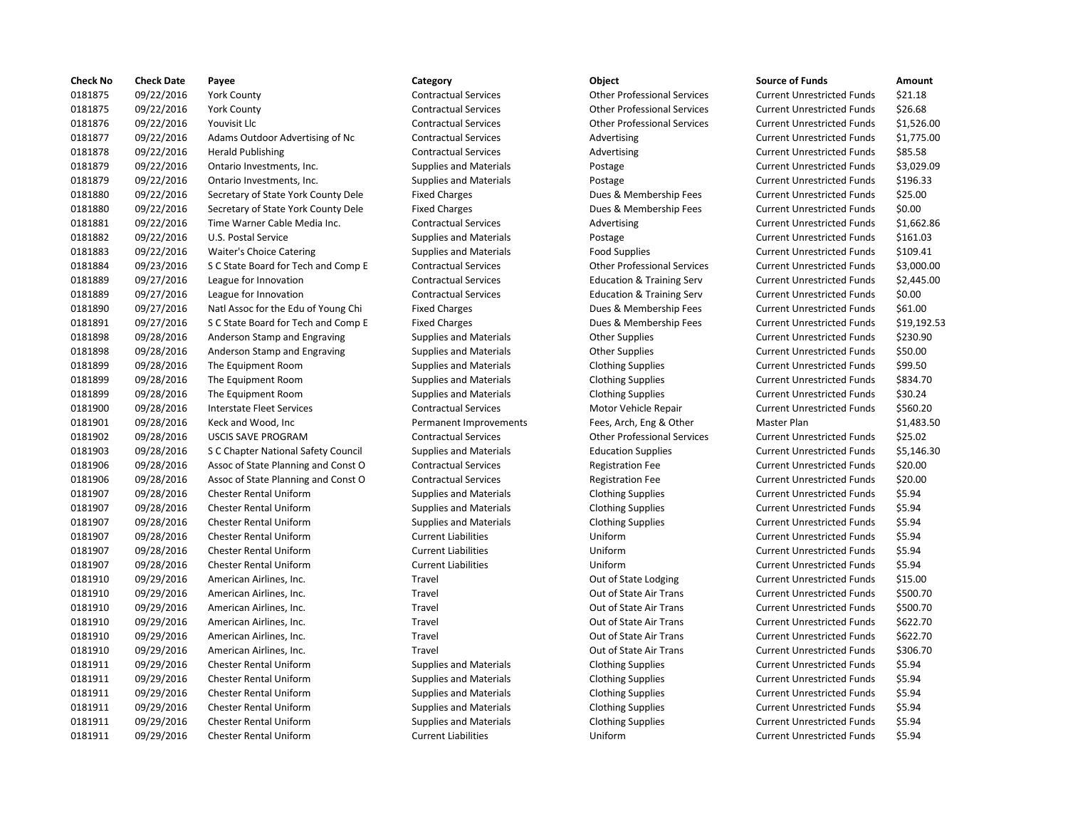| <b>Check No</b> | <b>Check Date</b> | Payee                               | Category                      | Object                               | <b>Source of Funds</b>            | Amount    |
|-----------------|-------------------|-------------------------------------|-------------------------------|--------------------------------------|-----------------------------------|-----------|
| 0181875         | 09/22/2016        | <b>York County</b>                  | <b>Contractual Services</b>   | <b>Other Professional Services</b>   | <b>Current Unrestricted Funds</b> | \$21.18   |
| 0181875         | 09/22/2016        | <b>York County</b>                  | <b>Contractual Services</b>   | <b>Other Professional Services</b>   | <b>Current Unrestricted Funds</b> | \$26.68   |
| 0181876         | 09/22/2016        | Youvisit Llc                        | <b>Contractual Services</b>   | <b>Other Professional Services</b>   | <b>Current Unrestricted Funds</b> | \$1,526.0 |
| 0181877         | 09/22/2016        | Adams Outdoor Advertising of Nc     | <b>Contractual Services</b>   | Advertising                          | <b>Current Unrestricted Funds</b> | \$1,775.0 |
| 0181878         | 09/22/2016        | <b>Herald Publishing</b>            | <b>Contractual Services</b>   | Advertising                          | <b>Current Unrestricted Funds</b> | \$85.58   |
| 0181879         | 09/22/2016        | Ontario Investments, Inc.           | <b>Supplies and Materials</b> | Postage                              | <b>Current Unrestricted Funds</b> | \$3,029.0 |
| 0181879         | 09/22/2016        | Ontario Investments, Inc.           | <b>Supplies and Materials</b> | Postage                              | <b>Current Unrestricted Funds</b> | \$196.33  |
| 0181880         | 09/22/2016        | Secretary of State York County Dele | <b>Fixed Charges</b>          | Dues & Membership Fees               | <b>Current Unrestricted Funds</b> | \$25.00   |
| 0181880         | 09/22/2016        | Secretary of State York County Dele | <b>Fixed Charges</b>          | Dues & Membership Fees               | <b>Current Unrestricted Funds</b> | \$0.00    |
| 0181881         | 09/22/2016        | Time Warner Cable Media Inc.        | <b>Contractual Services</b>   | Advertising                          | <b>Current Unrestricted Funds</b> | \$1,662.8 |
| 0181882         | 09/22/2016        | U.S. Postal Service                 | <b>Supplies and Materials</b> | Postage                              | <b>Current Unrestricted Funds</b> | \$161.03  |
| 0181883         | 09/22/2016        | Waiter's Choice Catering            | <b>Supplies and Materials</b> | <b>Food Supplies</b>                 | <b>Current Unrestricted Funds</b> | \$109.41  |
| 0181884         | 09/23/2016        | S C State Board for Tech and Comp E | <b>Contractual Services</b>   | <b>Other Professional Services</b>   | <b>Current Unrestricted Funds</b> | \$3,000.0 |
| 0181889         | 09/27/2016        | League for Innovation               | <b>Contractual Services</b>   | <b>Education &amp; Training Serv</b> | <b>Current Unrestricted Funds</b> | \$2,445.0 |
| 0181889         | 09/27/2016        | League for Innovation               | <b>Contractual Services</b>   | <b>Education &amp; Training Serv</b> | <b>Current Unrestricted Funds</b> | \$0.00    |
| 0181890         | 09/27/2016        | Natl Assoc for the Edu of Young Chi | <b>Fixed Charges</b>          | Dues & Membership Fees               | <b>Current Unrestricted Funds</b> | \$61.00   |
| 0181891         | 09/27/2016        | S C State Board for Tech and Comp E | <b>Fixed Charges</b>          | Dues & Membership Fees               | <b>Current Unrestricted Funds</b> | \$19,192  |
| 0181898         | 09/28/2016        | Anderson Stamp and Engraving        | <b>Supplies and Materials</b> | <b>Other Supplies</b>                | <b>Current Unrestricted Funds</b> | \$230.90  |
| 0181898         | 09/28/2016        | Anderson Stamp and Engraving        | <b>Supplies and Materials</b> | <b>Other Supplies</b>                | <b>Current Unrestricted Funds</b> | \$50.00   |
| 0181899         | 09/28/2016        | The Equipment Room                  | <b>Supplies and Materials</b> | <b>Clothing Supplies</b>             | <b>Current Unrestricted Funds</b> | \$99.50   |
| 0181899         | 09/28/2016        | The Equipment Room                  | <b>Supplies and Materials</b> | <b>Clothing Supplies</b>             | <b>Current Unrestricted Funds</b> | \$834.70  |
| 0181899         | 09/28/2016        | The Equipment Room                  | <b>Supplies and Materials</b> | <b>Clothing Supplies</b>             | <b>Current Unrestricted Funds</b> | \$30.24   |
| 0181900         | 09/28/2016        | <b>Interstate Fleet Services</b>    | <b>Contractual Services</b>   | Motor Vehicle Repair                 | <b>Current Unrestricted Funds</b> | \$560.20  |
| 0181901         | 09/28/2016        | Keck and Wood, Inc                  | Permanent Improvements        | Fees, Arch, Eng & Other              | Master Plan                       | \$1,483.5 |
| 0181902         | 09/28/2016        | <b>USCIS SAVE PROGRAM</b>           | <b>Contractual Services</b>   | <b>Other Professional Services</b>   | <b>Current Unrestricted Funds</b> | \$25.02   |
| 0181903         | 09/28/2016        | S C Chapter National Safety Council | <b>Supplies and Materials</b> | <b>Education Supplies</b>            | <b>Current Unrestricted Funds</b> | \$5,146.3 |
| 0181906         | 09/28/2016        | Assoc of State Planning and Const O | <b>Contractual Services</b>   | <b>Registration Fee</b>              | <b>Current Unrestricted Funds</b> | \$20.00   |
| 0181906         | 09/28/2016        | Assoc of State Planning and Const O | <b>Contractual Services</b>   | <b>Registration Fee</b>              | <b>Current Unrestricted Funds</b> | \$20.00   |
| 0181907         | 09/28/2016        | <b>Chester Rental Uniform</b>       | <b>Supplies and Materials</b> | <b>Clothing Supplies</b>             | <b>Current Unrestricted Funds</b> | \$5.94    |
| 0181907         | 09/28/2016        | <b>Chester Rental Uniform</b>       | <b>Supplies and Materials</b> | <b>Clothing Supplies</b>             | <b>Current Unrestricted Funds</b> | \$5.94    |
| 0181907         | 09/28/2016        | <b>Chester Rental Uniform</b>       | <b>Supplies and Materials</b> | <b>Clothing Supplies</b>             | <b>Current Unrestricted Funds</b> | \$5.94    |
| 0181907         | 09/28/2016        | <b>Chester Rental Uniform</b>       | <b>Current Liabilities</b>    | Uniform                              | <b>Current Unrestricted Funds</b> | \$5.94    |
| 0181907         | 09/28/2016        | <b>Chester Rental Uniform</b>       | <b>Current Liabilities</b>    | Uniform                              | <b>Current Unrestricted Funds</b> | \$5.94    |
| 0181907         | 09/28/2016        | <b>Chester Rental Uniform</b>       | <b>Current Liabilities</b>    | Uniform                              | <b>Current Unrestricted Funds</b> | \$5.94    |
| 0181910         | 09/29/2016        | American Airlines, Inc.             | Travel                        | Out of State Lodging                 | <b>Current Unrestricted Funds</b> | \$15.00   |
| 0181910         | 09/29/2016        | American Airlines, Inc.             | Travel                        | Out of State Air Trans               | <b>Current Unrestricted Funds</b> | \$500.70  |
| 0181910         | 09/29/2016        | American Airlines, Inc.             | Travel                        | Out of State Air Trans               | <b>Current Unrestricted Funds</b> | \$500.70  |
| 0181910         | 09/29/2016        | American Airlines, Inc.             | Travel                        | Out of State Air Trans               | <b>Current Unrestricted Funds</b> | \$622.70  |
| 0181910         | 09/29/2016        | American Airlines, Inc.             | Travel                        | Out of State Air Trans               | <b>Current Unrestricted Funds</b> | \$622.70  |
| 0181910         | 09/29/2016        | American Airlines, Inc.             | Travel                        | Out of State Air Trans               | <b>Current Unrestricted Funds</b> | \$306.70  |
| 0181911         | 09/29/2016        | <b>Chester Rental Uniform</b>       | <b>Supplies and Materials</b> | <b>Clothing Supplies</b>             | <b>Current Unrestricted Funds</b> | \$5.94    |
| 0181911         | 09/29/2016        | <b>Chester Rental Uniform</b>       | <b>Supplies and Materials</b> | <b>Clothing Supplies</b>             | <b>Current Unrestricted Funds</b> | \$5.94    |
| 0181911         | 09/29/2016        | <b>Chester Rental Uniform</b>       | <b>Supplies and Materials</b> | <b>Clothing Supplies</b>             | <b>Current Unrestricted Funds</b> | \$5.94    |
| 0181911         | 09/29/2016        | <b>Chester Rental Uniform</b>       | <b>Supplies and Materials</b> | <b>Clothing Supplies</b>             | <b>Current Unrestricted Funds</b> | \$5.94    |
| 0181911         | 09/29/2016        | <b>Chester Rental Uniform</b>       | <b>Supplies and Materials</b> | <b>Clothing Supplies</b>             | <b>Current Unrestricted Funds</b> | \$5.94    |
| 0181911         | 09/29/2016        | <b>Chester Rental Uniform</b>       | <b>Current Liabilities</b>    | Uniform                              | <b>Current Unrestricted Funds</b> | \$5.94    |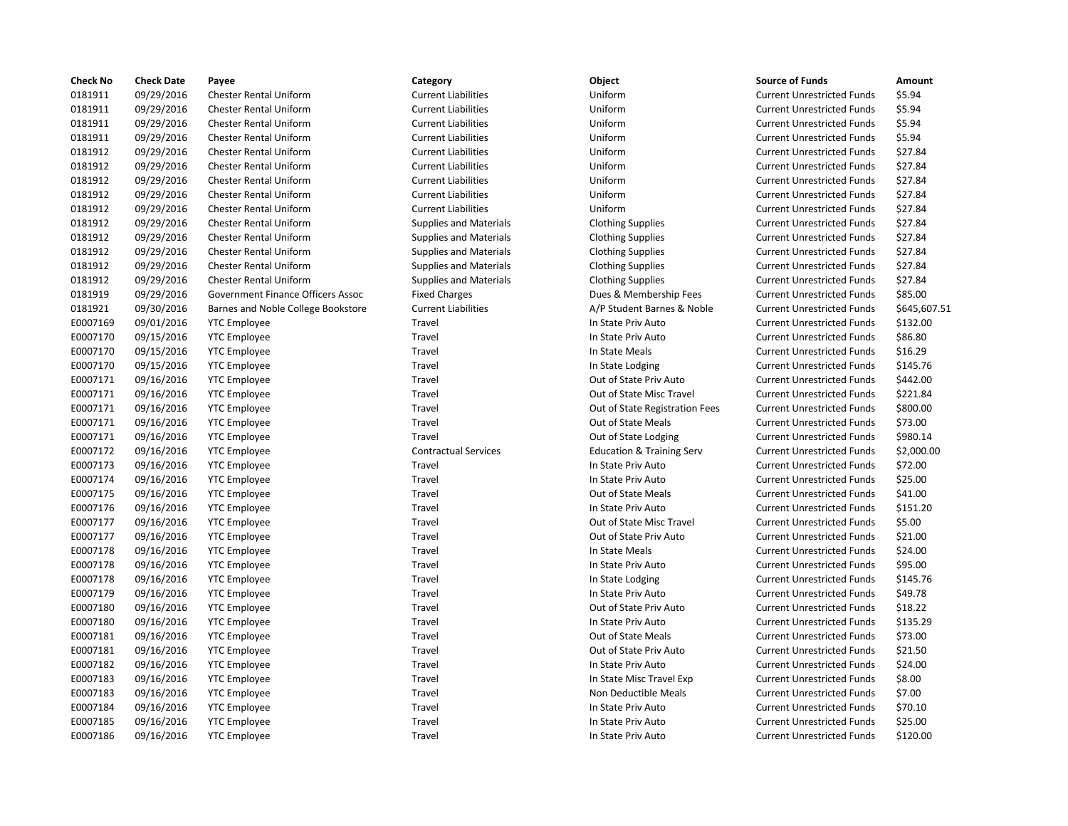| <b>Check No</b> | <b>Check Date</b> | Payee                              | Category                      | Object                               | <b>Source of Funds</b>            | Amount    |
|-----------------|-------------------|------------------------------------|-------------------------------|--------------------------------------|-----------------------------------|-----------|
| 0181911         | 09/29/2016        | <b>Chester Rental Uniform</b>      | <b>Current Liabilities</b>    | Uniform                              | <b>Current Unrestricted Funds</b> | \$5.94    |
| 0181911         | 09/29/2016        | <b>Chester Rental Uniform</b>      | <b>Current Liabilities</b>    | Uniform                              | <b>Current Unrestricted Funds</b> | \$5.94    |
| 0181911         | 09/29/2016        | <b>Chester Rental Uniform</b>      | <b>Current Liabilities</b>    | Uniform                              | <b>Current Unrestricted Funds</b> | \$5.94    |
| 0181911         | 09/29/2016        | <b>Chester Rental Uniform</b>      | <b>Current Liabilities</b>    | Uniform                              | <b>Current Unrestricted Funds</b> | \$5.94    |
| 0181912         | 09/29/2016        | <b>Chester Rental Uniform</b>      | <b>Current Liabilities</b>    | Uniform                              | <b>Current Unrestricted Funds</b> | \$27.84   |
| 0181912         | 09/29/2016        | <b>Chester Rental Uniform</b>      | <b>Current Liabilities</b>    | Uniform                              | <b>Current Unrestricted Funds</b> | \$27.84   |
| 0181912         | 09/29/2016        | <b>Chester Rental Uniform</b>      | <b>Current Liabilities</b>    | Uniform                              | <b>Current Unrestricted Funds</b> | \$27.84   |
| 0181912         | 09/29/2016        | <b>Chester Rental Uniform</b>      | <b>Current Liabilities</b>    | Uniform                              | <b>Current Unrestricted Funds</b> | \$27.84   |
| 0181912         | 09/29/2016        | <b>Chester Rental Uniform</b>      | <b>Current Liabilities</b>    | Uniform                              | <b>Current Unrestricted Funds</b> | \$27.84   |
| 0181912         | 09/29/2016        | <b>Chester Rental Uniform</b>      | <b>Supplies and Materials</b> | <b>Clothing Supplies</b>             | <b>Current Unrestricted Funds</b> | \$27.84   |
| 0181912         | 09/29/2016        | <b>Chester Rental Uniform</b>      | <b>Supplies and Materials</b> | <b>Clothing Supplies</b>             | <b>Current Unrestricted Funds</b> | \$27.84   |
| 0181912         | 09/29/2016        | <b>Chester Rental Uniform</b>      | <b>Supplies and Materials</b> | <b>Clothing Supplies</b>             | <b>Current Unrestricted Funds</b> | \$27.84   |
| 0181912         | 09/29/2016        | <b>Chester Rental Uniform</b>      | <b>Supplies and Materials</b> | <b>Clothing Supplies</b>             | <b>Current Unrestricted Funds</b> | \$27.84   |
| 0181912         | 09/29/2016        | <b>Chester Rental Uniform</b>      | <b>Supplies and Materials</b> | <b>Clothing Supplies</b>             | <b>Current Unrestricted Funds</b> | \$27.84   |
| 0181919         | 09/29/2016        | Government Finance Officers Assoc  | <b>Fixed Charges</b>          | Dues & Membership Fees               | <b>Current Unrestricted Funds</b> | \$85.00   |
| 0181921         | 09/30/2016        | Barnes and Noble College Bookstore | <b>Current Liabilities</b>    | A/P Student Barnes & Noble           | <b>Current Unrestricted Funds</b> | \$645,60  |
| E0007169        | 09/01/2016        | <b>YTC Employee</b>                | Travel                        | In State Priv Auto                   | <b>Current Unrestricted Funds</b> | \$132.00  |
| E0007170        | 09/15/2016        | <b>YTC Employee</b>                | Travel                        | In State Priv Auto                   | <b>Current Unrestricted Funds</b> | \$86.80   |
| E0007170        | 09/15/2016        | <b>YTC Employee</b>                | Travel                        | In State Meals                       | <b>Current Unrestricted Funds</b> | \$16.29   |
| E0007170        | 09/15/2016        | <b>YTC Employee</b>                | Travel                        | In State Lodging                     | <b>Current Unrestricted Funds</b> | \$145.76  |
| E0007171        | 09/16/2016        | <b>YTC Employee</b>                | Travel                        | Out of State Priv Auto               | <b>Current Unrestricted Funds</b> | \$442.00  |
| E0007171        | 09/16/2016        | <b>YTC Employee</b>                | Travel                        | Out of State Misc Travel             | <b>Current Unrestricted Funds</b> | \$221.84  |
| E0007171        | 09/16/2016        | <b>YTC Employee</b>                | Travel                        | Out of State Registration Fees       | <b>Current Unrestricted Funds</b> | \$800.00  |
| E0007171        | 09/16/2016        | <b>YTC Employee</b>                | <b>Travel</b>                 | Out of State Meals                   | <b>Current Unrestricted Funds</b> | \$73.00   |
| E0007171        | 09/16/2016        | <b>YTC Employee</b>                | Travel                        | Out of State Lodging                 | <b>Current Unrestricted Funds</b> | \$980.14  |
| E0007172        | 09/16/2016        | <b>YTC Employee</b>                | <b>Contractual Services</b>   | <b>Education &amp; Training Serv</b> | <b>Current Unrestricted Funds</b> | \$2,000.0 |
| E0007173        | 09/16/2016        | <b>YTC Employee</b>                | Travel                        | In State Priv Auto                   | <b>Current Unrestricted Funds</b> | \$72.00   |
| E0007174        | 09/16/2016        | <b>YTC Employee</b>                | Travel                        | In State Priv Auto                   | <b>Current Unrestricted Funds</b> | \$25.00   |
| E0007175        | 09/16/2016        | <b>YTC Employee</b>                | Travel                        | Out of State Meals                   | <b>Current Unrestricted Funds</b> | \$41.00   |
| E0007176        | 09/16/2016        | <b>YTC Employee</b>                | Travel                        | In State Priv Auto                   | <b>Current Unrestricted Funds</b> | \$151.20  |
| E0007177        | 09/16/2016        | <b>YTC Employee</b>                | Travel                        | Out of State Misc Travel             | <b>Current Unrestricted Funds</b> | \$5.00    |
| E0007177        | 09/16/2016        | <b>YTC Employee</b>                | Travel                        | Out of State Priv Auto               | <b>Current Unrestricted Funds</b> | \$21.00   |
| E0007178        | 09/16/2016        | <b>YTC Employee</b>                | <b>Travel</b>                 | In State Meals                       | <b>Current Unrestricted Funds</b> | \$24.00   |
| E0007178        | 09/16/2016        | <b>YTC Employee</b>                | Travel                        | In State Priv Auto                   | <b>Current Unrestricted Funds</b> | \$95.00   |
| E0007178        | 09/16/2016        | <b>YTC Employee</b>                | Travel                        | In State Lodging                     | <b>Current Unrestricted Funds</b> | \$145.76  |
| E0007179        | 09/16/2016        | <b>YTC Employee</b>                | Travel                        | In State Priv Auto                   | <b>Current Unrestricted Funds</b> | \$49.78   |
| E0007180        | 09/16/2016        | <b>YTC Employee</b>                | Travel                        | Out of State Priv Auto               | <b>Current Unrestricted Funds</b> | \$18.22   |
| E0007180        | 09/16/2016        | <b>YTC Employee</b>                | Travel                        | In State Priv Auto                   | <b>Current Unrestricted Funds</b> | \$135.29  |
| E0007181        | 09/16/2016        | <b>YTC Employee</b>                | Travel                        | Out of State Meals                   | <b>Current Unrestricted Funds</b> | \$73.00   |
| E0007181        | 09/16/2016        | <b>YTC Employee</b>                | Travel                        | Out of State Priv Auto               | <b>Current Unrestricted Funds</b> | \$21.50   |
| E0007182        | 09/16/2016        | <b>YTC Employee</b>                | Travel                        | In State Priv Auto                   | <b>Current Unrestricted Funds</b> | \$24.00   |
| E0007183        | 09/16/2016        | <b>YTC Employee</b>                | Travel                        | In State Misc Travel Exp             | <b>Current Unrestricted Funds</b> | \$8.00    |
| E0007183        | 09/16/2016        | <b>YTC Employee</b>                | Travel                        | Non Deductible Meals                 | <b>Current Unrestricted Funds</b> | \$7.00    |
| E0007184        | 09/16/2016        | <b>YTC Employee</b>                | Travel                        | In State Priv Auto                   | <b>Current Unrestricted Funds</b> | \$70.10   |
| E0007185        | 09/16/2016        | <b>YTC Employee</b>                | Travel                        | In State Priv Auto                   | <b>Current Unrestricted Funds</b> | \$25.00   |
| E0007186        | 09/16/2016        | <b>YTC Employee</b>                | Travel                        | In State Priv Auto                   | <b>Current Unrestricted Funds</b> | \$120.00  |